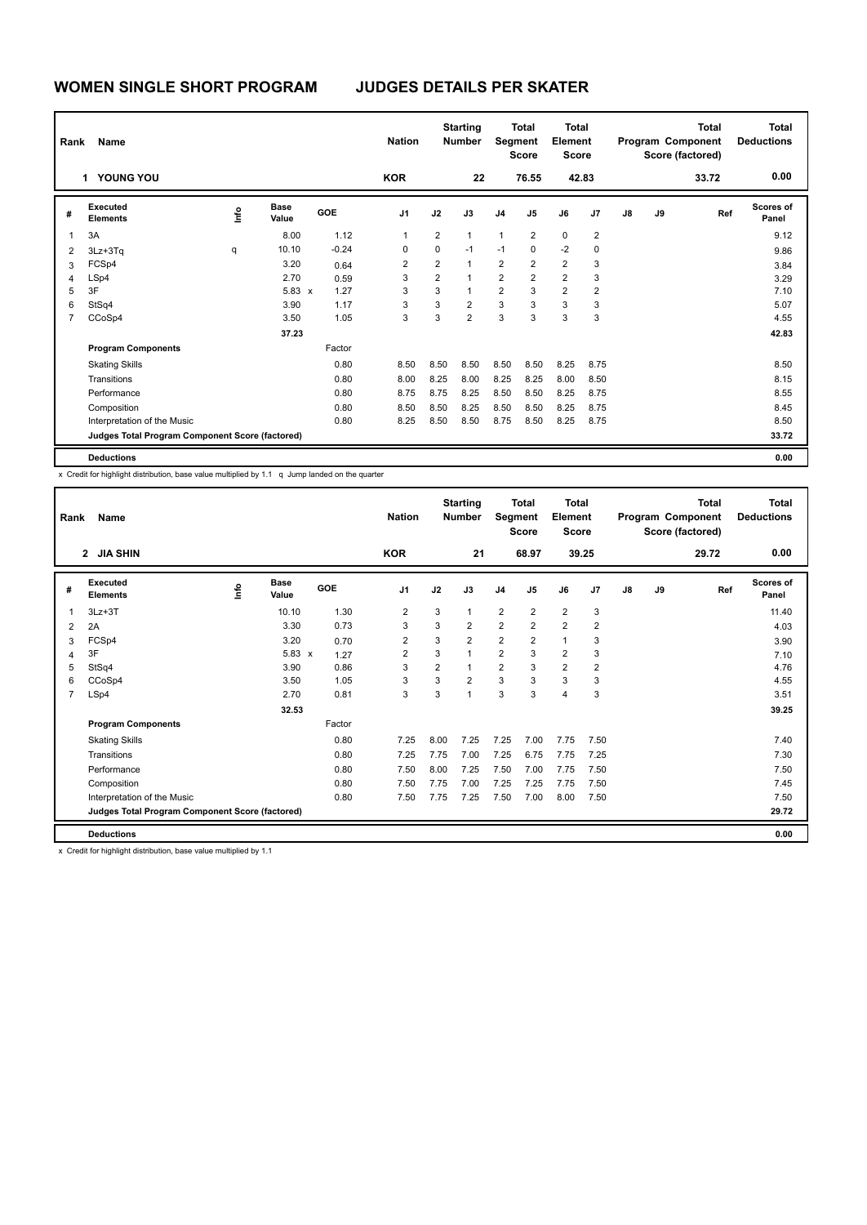| Rank                     | Name                                            |                | <b>Nation</b>        |            | <b>Starting</b><br><b>Number</b> |                | <b>Total</b><br>Segment<br><b>Score</b> | Total<br>Element<br><b>Score</b> |                         |                |                | Total<br>Program Component<br>Score (factored) | <b>Total</b><br><b>Deductions</b> |       |                           |
|--------------------------|-------------------------------------------------|----------------|----------------------|------------|----------------------------------|----------------|-----------------------------------------|----------------------------------|-------------------------|----------------|----------------|------------------------------------------------|-----------------------------------|-------|---------------------------|
|                          | 1 YOUNG YOU                                     |                |                      |            | <b>KOR</b>                       |                | 22                                      |                                  | 76.55                   |                | 42.83          |                                                |                                   | 33.72 | 0.00                      |
| #                        | Executed<br><b>Elements</b>                     | $\frac{6}{10}$ | <b>Base</b><br>Value | <b>GOE</b> | J <sub>1</sub>                   | J2             | J3                                      | J <sub>4</sub>                   | J <sub>5</sub>          | J6             | J <sub>7</sub> | J8                                             | J9                                | Ref   | <b>Scores of</b><br>Panel |
| $\overline{\phantom{a}}$ | 3A                                              |                | 8.00                 | 1.12       | 1                                | $\overline{2}$ | $\mathbf{1}$                            | $\mathbf{1}$                     | $\overline{2}$          | 0              | 2              |                                                |                                   |       | 9.12                      |
| $\overline{2}$           | 3Lz+3Tq                                         | q              | 10.10                | $-0.24$    | 0                                | 0              | $-1$                                    | $-1$                             | 0                       | $-2$           | 0              |                                                |                                   |       | 9.86                      |
| 3                        | FCSp4                                           |                | 3.20                 | 0.64       | $\overline{\mathbf{c}}$          | $\overline{2}$ | $\mathbf{1}$                            | $\overline{2}$                   | $\overline{2}$          | $\overline{2}$ | 3              |                                                |                                   |       | 3.84                      |
| $\overline{4}$           | LSp4                                            |                | 2.70                 | 0.59       | 3                                | $\overline{2}$ | $\mathbf{1}$                            | $\overline{2}$                   | $\overline{\mathbf{c}}$ | $\overline{2}$ | 3              |                                                |                                   |       | 3.29                      |
| 5                        | 3F                                              |                | $5.83 \times$        | 1.27       | 3                                | 3              | $\mathbf{1}$                            | $\overline{2}$                   | 3                       | $\overline{2}$ | 2              |                                                |                                   |       | 7.10                      |
| 6                        | StSq4                                           |                | 3.90                 | 1.17       | 3                                | 3              | $\overline{2}$                          | 3                                | 3                       | 3              | 3              |                                                |                                   |       | 5.07                      |
| $\overline{7}$           | CCoSp4                                          |                | 3.50                 | 1.05       | 3                                | 3              | $\overline{2}$                          | 3                                | 3                       | 3              | 3              |                                                |                                   |       | 4.55                      |
|                          |                                                 |                | 37.23                |            |                                  |                |                                         |                                  |                         |                |                |                                                |                                   |       | 42.83                     |
|                          | <b>Program Components</b>                       |                |                      | Factor     |                                  |                |                                         |                                  |                         |                |                |                                                |                                   |       |                           |
|                          | <b>Skating Skills</b>                           |                |                      | 0.80       | 8.50                             | 8.50           | 8.50                                    | 8.50                             | 8.50                    | 8.25           | 8.75           |                                                |                                   |       | 8.50                      |
|                          | Transitions                                     |                |                      | 0.80       | 8.00                             | 8.25           | 8.00                                    | 8.25                             | 8.25                    | 8.00           | 8.50           |                                                |                                   |       | 8.15                      |
|                          | Performance                                     |                |                      | 0.80       | 8.75                             | 8.75           | 8.25                                    | 8.50                             | 8.50                    | 8.25           | 8.75           |                                                |                                   |       | 8.55                      |
|                          | Composition                                     |                |                      | 0.80       | 8.50                             | 8.50           | 8.25                                    | 8.50                             | 8.50                    | 8.25           | 8.75           |                                                |                                   |       | 8.45                      |
|                          | Interpretation of the Music                     |                |                      | 0.80       | 8.25                             | 8.50           | 8.50                                    | 8.75                             | 8.50                    | 8.25           | 8.75           |                                                |                                   |       | 8.50                      |
|                          | Judges Total Program Component Score (factored) |                |                      |            |                                  |                |                                         |                                  |                         |                |                |                                                |                                   |       | 33.72                     |
|                          | <b>Deductions</b>                               |                |                      |            |                                  |                |                                         |                                  |                         |                |                |                                                |                                   |       | 0.00                      |

| Rank           | Name<br>2 JIA SHIN                              |    |                      |            | <b>Nation</b>  |                | <b>Starting</b><br><b>Number</b> | Segment        | <b>Total</b><br><b>Score</b> | <b>Total</b><br>Element<br><b>Score</b> |                |               |    | <b>Total</b><br>Program Component<br>Score (factored) | <b>Total</b><br><b>Deductions</b> |
|----------------|-------------------------------------------------|----|----------------------|------------|----------------|----------------|----------------------------------|----------------|------------------------------|-----------------------------------------|----------------|---------------|----|-------------------------------------------------------|-----------------------------------|
|                |                                                 |    |                      |            | <b>KOR</b>     |                | 21                               |                | 68.97                        | 39.25                                   |                |               |    | 29.72                                                 | 0.00                              |
| #              | Executed<br><b>Elements</b>                     | ١m | <b>Base</b><br>Value | <b>GOE</b> | J <sub>1</sub> | J2             | J3                               | J <sub>4</sub> | J <sub>5</sub>               | J6                                      | J <sub>7</sub> | $\mathsf{J}8$ | J9 | Ref                                                   | Scores of<br>Panel                |
| 1              | $3Lz + 3T$                                      |    | 10.10                | 1.30       | $\overline{2}$ | 3              | $\mathbf{1}$                     | $\overline{2}$ | $\overline{2}$               | $\overline{2}$                          | 3              |               |    |                                                       | 11.40                             |
| 2              | 2A                                              |    | 3.30                 | 0.73       | 3              | 3              | $\overline{2}$                   | $\overline{2}$ | $\overline{2}$               | $\overline{2}$                          | $\overline{2}$ |               |    |                                                       | 4.03                              |
| 3              | FCSp4                                           |    | 3.20                 | 0.70       | 2              | 3              | $\overline{2}$                   | $\overline{2}$ | $\overline{2}$               | $\mathbf{1}$                            | 3              |               |    |                                                       | 3.90                              |
| $\overline{4}$ | 3F                                              |    | $5.83 \times$        | 1.27       | 2              | 3              | 1                                | $\overline{2}$ | 3                            | $\overline{2}$                          | 3              |               |    |                                                       | 7.10                              |
| 5              | StSq4                                           |    | 3.90                 | 0.86       | 3              | $\overline{2}$ | $\mathbf{1}$                     | $\overline{2}$ | 3                            | $\overline{2}$                          | $\overline{2}$ |               |    |                                                       | 4.76                              |
| 6              | CCoSp4                                          |    | 3.50                 | 1.05       | 3              | 3              | $\overline{2}$                   | 3              | 3                            | 3                                       | 3              |               |    |                                                       | 4.55                              |
| $\overline{7}$ | LSp4                                            |    | 2.70                 | 0.81       | 3              | 3              | $\mathbf{1}$                     | 3              | 3                            | 4                                       | 3              |               |    |                                                       | 3.51                              |
|                |                                                 |    | 32.53                |            |                |                |                                  |                |                              |                                         |                |               |    |                                                       | 39.25                             |
|                | <b>Program Components</b>                       |    |                      | Factor     |                |                |                                  |                |                              |                                         |                |               |    |                                                       |                                   |
|                | <b>Skating Skills</b>                           |    |                      | 0.80       | 7.25           | 8.00           | 7.25                             | 7.25           | 7.00                         | 7.75                                    | 7.50           |               |    |                                                       | 7.40                              |
|                | Transitions                                     |    |                      | 0.80       | 7.25           | 7.75           | 7.00                             | 7.25           | 6.75                         | 7.75                                    | 7.25           |               |    |                                                       | 7.30                              |
|                | Performance                                     |    |                      | 0.80       | 7.50           | 8.00           | 7.25                             | 7.50           | 7.00                         | 7.75                                    | 7.50           |               |    |                                                       | 7.50                              |
|                | Composition                                     |    |                      | 0.80       | 7.50           | 7.75           | 7.00                             | 7.25           | 7.25                         | 7.75                                    | 7.50           |               |    |                                                       | 7.45                              |
|                | Interpretation of the Music                     |    |                      | 0.80       | 7.50           | 7.75           | 7.25                             | 7.50           | 7.00                         | 8.00                                    | 7.50           |               |    |                                                       | 7.50                              |
|                | Judges Total Program Component Score (factored) |    |                      |            |                |                |                                  |                |                              |                                         |                |               |    |                                                       | 29.72                             |
|                | <b>Deductions</b>                               |    |                      |            |                |                |                                  |                |                              |                                         |                |               |    |                                                       | 0.00                              |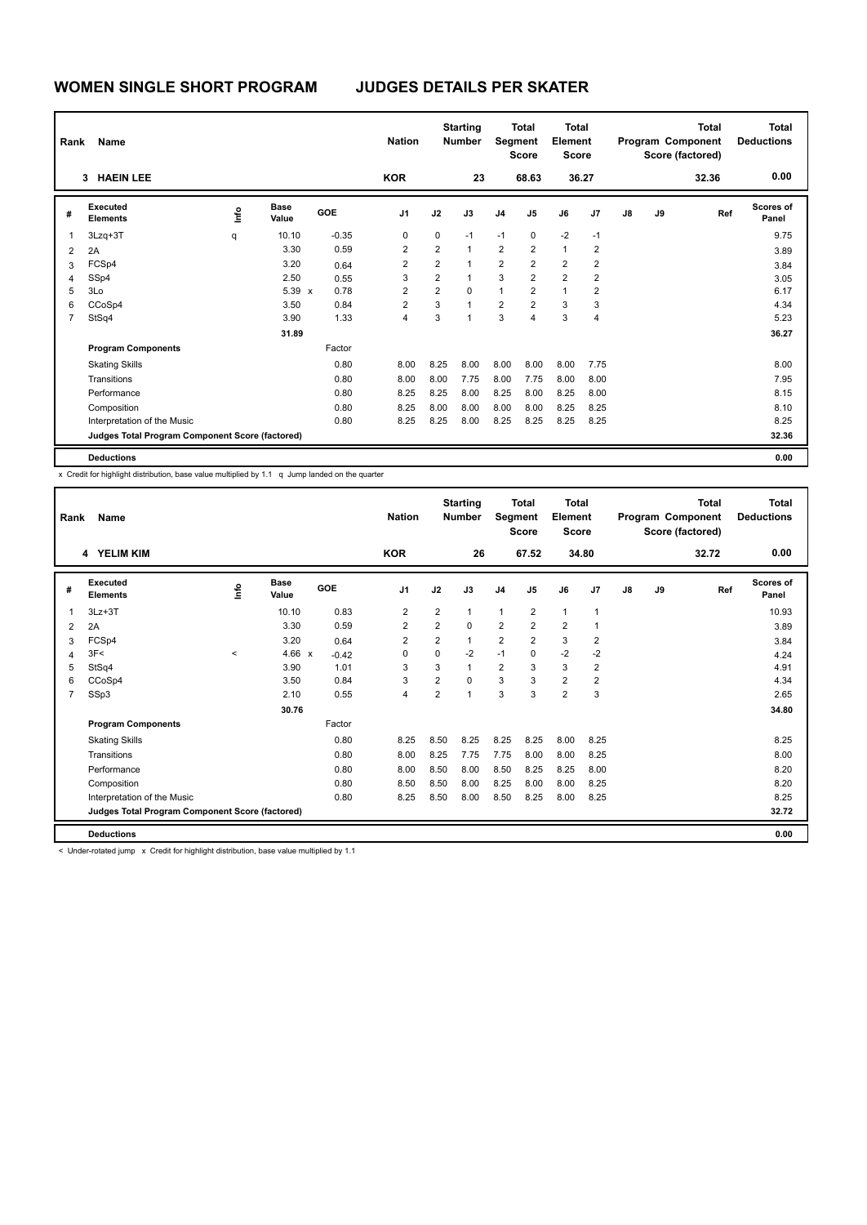| Rank           | Name                                            |      |                      |            | <b>Nation</b>           |                | <b>Starting</b><br><b>Number</b> | Segment        | <b>Total</b><br><b>Score</b> | <b>Total</b><br>Element<br><b>Score</b> |                |    |    | <b>Total</b><br>Program Component<br>Score (factored) | <b>Total</b><br><b>Deductions</b> |
|----------------|-------------------------------------------------|------|----------------------|------------|-------------------------|----------------|----------------------------------|----------------|------------------------------|-----------------------------------------|----------------|----|----|-------------------------------------------------------|-----------------------------------|
|                | <b>HAEIN LEE</b><br>3                           |      |                      |            | <b>KOR</b>              |                | 23                               |                | 68.63                        |                                         | 36.27          |    |    | 32.36                                                 | 0.00                              |
| #              | Executed<br><b>Elements</b>                     | ١nfo | <b>Base</b><br>Value | <b>GOE</b> | J <sub>1</sub>          | J2             | J3                               | J <sub>4</sub> | J <sub>5</sub>               | J6                                      | J7             | J8 | J9 | Ref                                                   | Scores of<br>Panel                |
| $\overline{1}$ | $3Lzq+3T$                                       | q    | 10.10                | $-0.35$    | 0                       | 0              | $-1$                             | $-1$           | $\mathbf 0$                  | $-2$                                    | $-1$           |    |    |                                                       | 9.75                              |
| $\overline{2}$ | 2A                                              |      | 3.30                 | 0.59       | 2                       | $\overline{2}$ | $\mathbf{1}$                     | $\overline{2}$ | $\overline{2}$               | $\mathbf{1}$                            | $\overline{2}$ |    |    |                                                       | 3.89                              |
| 3              | FCSp4                                           |      | 3.20                 | 0.64       | $\overline{\mathbf{c}}$ | $\overline{2}$ | $\mathbf{1}$                     | $\overline{2}$ | $\overline{2}$               | $\overline{2}$                          | $\overline{2}$ |    |    |                                                       | 3.84                              |
| 4              | SSp4                                            |      | 2.50                 | 0.55       | 3                       | $\overline{2}$ | $\mathbf{1}$                     | 3              | $\overline{2}$               | $\overline{2}$                          | 2              |    |    |                                                       | 3.05                              |
| 5              | 3Lo                                             |      | $5.39 \times$        | 0.78       | 2                       | 2              | $\mathbf 0$                      | $\mathbf{1}$   | $\overline{2}$               | $\mathbf{1}$                            | 2              |    |    |                                                       | 6.17                              |
| 6              | CCoSp4                                          |      | 3.50                 | 0.84       | $\overline{2}$          | 3              | $\overline{1}$                   | $\overline{2}$ | $\overline{2}$               | 3                                       | 3              |    |    |                                                       | 4.34                              |
| $\overline{7}$ | StSq4                                           |      | 3.90                 | 1.33       | 4                       | 3              | $\overline{1}$                   | 3              | 4                            | 3                                       | 4              |    |    |                                                       | 5.23                              |
|                |                                                 |      | 31.89                |            |                         |                |                                  |                |                              |                                         |                |    |    |                                                       | 36.27                             |
|                | <b>Program Components</b>                       |      |                      | Factor     |                         |                |                                  |                |                              |                                         |                |    |    |                                                       |                                   |
|                | <b>Skating Skills</b>                           |      |                      | 0.80       | 8.00                    | 8.25           | 8.00                             | 8.00           | 8.00                         | 8.00                                    | 7.75           |    |    |                                                       | 8.00                              |
|                | Transitions                                     |      |                      | 0.80       | 8.00                    | 8.00           | 7.75                             | 8.00           | 7.75                         | 8.00                                    | 8.00           |    |    |                                                       | 7.95                              |
|                | Performance                                     |      |                      | 0.80       | 8.25                    | 8.25           | 8.00                             | 8.25           | 8.00                         | 8.25                                    | 8.00           |    |    |                                                       | 8.15                              |
|                | Composition                                     |      |                      | 0.80       | 8.25                    | 8.00           | 8.00                             | 8.00           | 8.00                         | 8.25                                    | 8.25           |    |    |                                                       | 8.10                              |
|                | Interpretation of the Music                     |      |                      | 0.80       | 8.25                    | 8.25           | 8.00                             | 8.25           | 8.25                         | 8.25                                    | 8.25           |    |    |                                                       | 8.25                              |
|                | Judges Total Program Component Score (factored) |      |                      |            |                         |                |                                  |                |                              |                                         |                |    |    |                                                       | 32.36                             |
|                | <b>Deductions</b>                               |      |                      |            |                         |                |                                  |                |                              |                                         |                |    |    |                                                       | 0.00                              |

| Rank           | <b>Name</b>                                     |         |                      |         | <b>Nation</b>  |                | <b>Starting</b><br><b>Number</b> | Segment        | <b>Total</b><br><b>Score</b> | <b>Total</b><br>Element<br><b>Score</b> |                |    |    | <b>Total</b><br>Program Component<br>Score (factored) | <b>Total</b><br><b>Deductions</b> |
|----------------|-------------------------------------------------|---------|----------------------|---------|----------------|----------------|----------------------------------|----------------|------------------------------|-----------------------------------------|----------------|----|----|-------------------------------------------------------|-----------------------------------|
|                | 4 YELIM KIM                                     |         |                      |         | <b>KOR</b>     |                | 26                               |                | 67.52                        |                                         | 34.80          |    |    | 32.72                                                 | 0.00                              |
| #              | Executed<br><b>Elements</b>                     | lnfo    | <b>Base</b><br>Value | GOE     | J <sub>1</sub> | J2             | J3                               | J <sub>4</sub> | J <sub>5</sub>               | J6                                      | J <sub>7</sub> | J8 | J9 | Ref                                                   | <b>Scores of</b><br>Panel         |
| 1              | $3Lz + 3T$                                      |         | 10.10                | 0.83    | $\overline{2}$ | $\overline{2}$ | 1                                | $\mathbf{1}$   | $\overline{2}$               | $\mathbf{1}$                            | $\overline{1}$ |    |    |                                                       | 10.93                             |
| 2              | 2A                                              |         | 3.30                 | 0.59    | $\overline{2}$ | $\overline{2}$ | 0                                | $\overline{2}$ | $\overline{2}$               | $\overline{2}$                          | $\overline{1}$ |    |    |                                                       | 3.89                              |
| 3              | FCSp4                                           |         | 3.20                 | 0.64    | $\overline{2}$ | $\overline{2}$ | 1                                | $\overline{2}$ | $\overline{2}$               | 3                                       | $\overline{2}$ |    |    |                                                       | 3.84                              |
| $\overline{4}$ | 3F<                                             | $\prec$ | 4.66 $\times$        | $-0.42$ | 0              | $\Omega$       | $-2$                             | $-1$           | $\Omega$                     | $-2$                                    | $-2$           |    |    |                                                       | 4.24                              |
| 5              | StSq4                                           |         | 3.90                 | 1.01    | 3              | 3              | 1                                | $\overline{2}$ | 3                            | 3                                       | $\overline{2}$ |    |    |                                                       | 4.91                              |
| 6              | CCoSp4                                          |         | 3.50                 | 0.84    | 3              | $\overline{2}$ | 0                                | 3              | 3                            | $\overline{2}$                          | $\overline{2}$ |    |    |                                                       | 4.34                              |
| 7              | SSp3                                            |         | 2.10                 | 0.55    | $\overline{4}$ | $\overline{2}$ | 1                                | 3              | 3                            | $\overline{2}$                          | 3              |    |    |                                                       | 2.65                              |
|                |                                                 |         | 30.76                |         |                |                |                                  |                |                              |                                         |                |    |    |                                                       | 34.80                             |
|                | <b>Program Components</b>                       |         |                      | Factor  |                |                |                                  |                |                              |                                         |                |    |    |                                                       |                                   |
|                | <b>Skating Skills</b>                           |         |                      | 0.80    | 8.25           | 8.50           | 8.25                             | 8.25           | 8.25                         | 8.00                                    | 8.25           |    |    |                                                       | 8.25                              |
|                | Transitions                                     |         |                      | 0.80    | 8.00           | 8.25           | 7.75                             | 7.75           | 8.00                         | 8.00                                    | 8.25           |    |    |                                                       | 8.00                              |
|                | Performance                                     |         |                      | 0.80    | 8.00           | 8.50           | 8.00                             | 8.50           | 8.25                         | 8.25                                    | 8.00           |    |    |                                                       | 8.20                              |
|                | Composition                                     |         |                      | 0.80    | 8.50           | 8.50           | 8.00                             | 8.25           | 8.00                         | 8.00                                    | 8.25           |    |    |                                                       | 8.20                              |
|                | Interpretation of the Music                     |         |                      | 0.80    | 8.25           | 8.50           | 8.00                             | 8.50           | 8.25                         | 8.00                                    | 8.25           |    |    |                                                       | 8.25                              |
|                | Judges Total Program Component Score (factored) |         |                      |         |                |                |                                  |                |                              |                                         |                |    |    |                                                       | 32.72                             |
|                | <b>Deductions</b>                               |         |                      |         |                |                |                                  |                |                              |                                         |                |    |    |                                                       | 0.00                              |

< Under-rotated jump x Credit for highlight distribution, base value multiplied by 1.1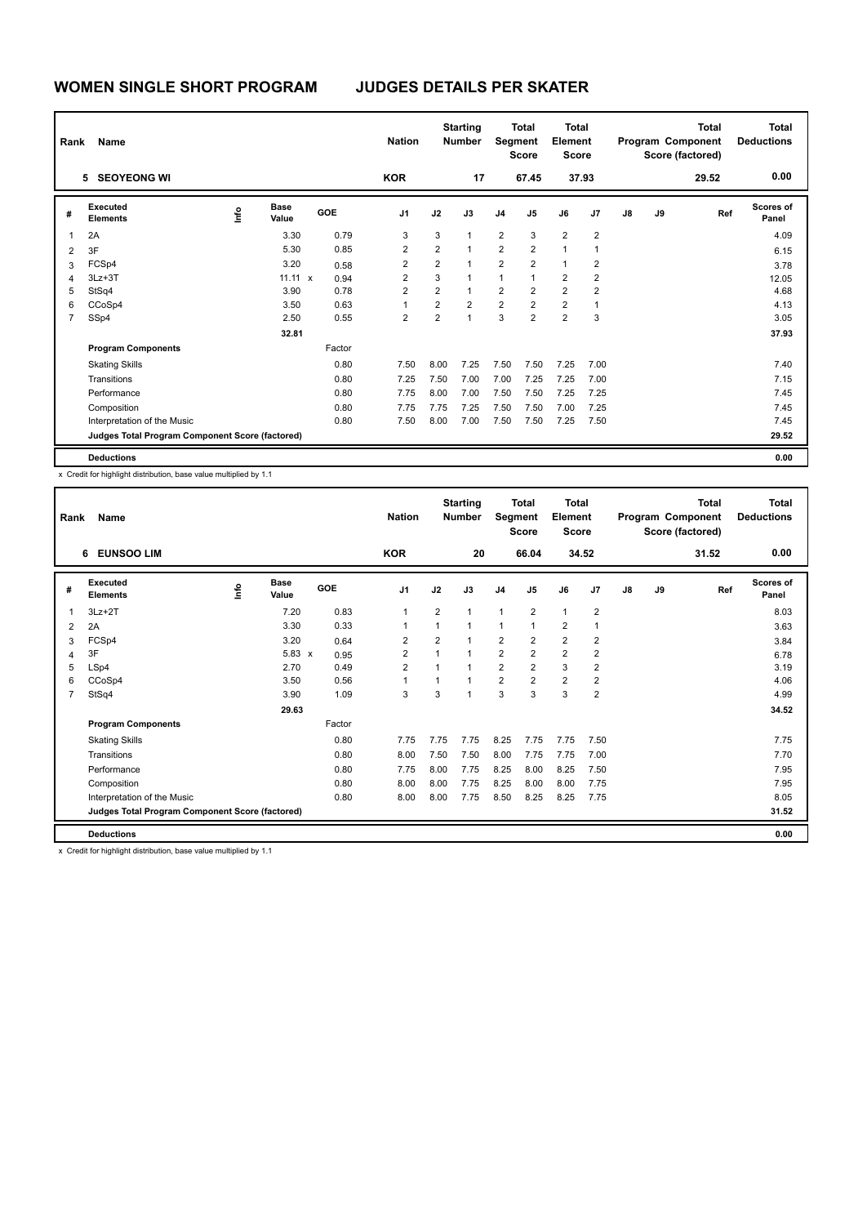| Rank                    | Name                                            |                |                      |                      | <b>Nation</b>           |                | <b>Starting</b><br><b>Number</b> | Segment        | <b>Total</b><br><b>Score</b> | Total<br>Element<br><b>Score</b> |                |    |    | <b>Total</b><br>Program Component<br>Score (factored) | <b>Total</b><br><b>Deductions</b> |
|-------------------------|-------------------------------------------------|----------------|----------------------|----------------------|-------------------------|----------------|----------------------------------|----------------|------------------------------|----------------------------------|----------------|----|----|-------------------------------------------------------|-----------------------------------|
|                         | 5 SEOYEONG WI                                   |                |                      |                      | <b>KOR</b>              |                | 17                               |                | 67.45                        |                                  | 37.93          |    |    | 29.52                                                 | 0.00                              |
| #                       | Executed<br><b>Elements</b>                     | $\frac{6}{10}$ | <b>Base</b><br>Value | <b>GOE</b>           | J <sub>1</sub>          | J2             | J3                               | J <sub>4</sub> | J <sub>5</sub>               | J6                               | J <sub>7</sub> | J8 | J9 | Ref                                                   | <b>Scores of</b><br>Panel         |
| $\overline{\mathbf{1}}$ | 2A                                              |                | 3.30                 | 0.79                 | 3                       | 3              | $\mathbf{1}$                     | $\overline{2}$ | 3                            | $\overline{2}$                   | $\overline{2}$ |    |    |                                                       | 4.09                              |
| $\overline{2}$          | 3F                                              |                | 5.30                 | 0.85                 | $\overline{2}$          | $\overline{2}$ | $\mathbf{1}$                     | $\overline{2}$ | $\overline{2}$               | $\mathbf{1}$                     | 1              |    |    |                                                       | 6.15                              |
| 3                       | FCSp4                                           |                | 3.20                 | 0.58                 | $\overline{\mathbf{c}}$ | $\overline{2}$ | $\mathbf{1}$                     | $\overline{2}$ | $\overline{2}$               | $\mathbf{1}$                     | $\overline{2}$ |    |    |                                                       | 3.78                              |
| $\overline{4}$          | $3Lz + 3T$                                      |                | 11.11                | 0.94<br>$\mathsf{x}$ | 2                       | 3              | $\mathbf{1}$                     | 1              | 1                            | $\overline{2}$                   | 2              |    |    |                                                       | 12.05                             |
| 5                       | StSq4                                           |                | 3.90                 | 0.78                 | 2                       | $\overline{2}$ | $\mathbf{1}$                     | $\overline{2}$ | $\overline{2}$               | $\overline{2}$                   | 2              |    |    |                                                       | 4.68                              |
| 6                       | CCoSp4                                          |                | 3.50                 | 0.63                 | 1                       | $\overline{2}$ | $\overline{2}$                   | $\overline{2}$ | $\overline{2}$               | $\overline{2}$                   | 1              |    |    |                                                       | 4.13                              |
| $\overline{7}$          | SSp4                                            |                | 2.50                 | 0.55                 | $\overline{2}$          | $\overline{2}$ | $\overline{1}$                   | 3              | $\overline{2}$               | $\overline{2}$                   | 3              |    |    |                                                       | 3.05                              |
|                         |                                                 |                | 32.81                |                      |                         |                |                                  |                |                              |                                  |                |    |    |                                                       | 37.93                             |
|                         | <b>Program Components</b>                       |                |                      | Factor               |                         |                |                                  |                |                              |                                  |                |    |    |                                                       |                                   |
|                         | <b>Skating Skills</b>                           |                |                      | 0.80                 | 7.50                    | 8.00           | 7.25                             | 7.50           | 7.50                         | 7.25                             | 7.00           |    |    |                                                       | 7.40                              |
|                         | Transitions                                     |                |                      | 0.80                 | 7.25                    | 7.50           | 7.00                             | 7.00           | 7.25                         | 7.25                             | 7.00           |    |    |                                                       | 7.15                              |
|                         | Performance                                     |                |                      | 0.80                 | 7.75                    | 8.00           | 7.00                             | 7.50           | 7.50                         | 7.25                             | 7.25           |    |    |                                                       | 7.45                              |
|                         | Composition                                     |                |                      | 0.80                 | 7.75                    | 7.75           | 7.25                             | 7.50           | 7.50                         | 7.00                             | 7.25           |    |    |                                                       | 7.45                              |
|                         | Interpretation of the Music                     |                |                      | 0.80                 | 7.50                    | 8.00           | 7.00                             | 7.50           | 7.50                         | 7.25                             | 7.50           |    |    |                                                       | 7.45                              |
|                         | Judges Total Program Component Score (factored) |                |                      |                      |                         |                |                                  |                |                              |                                  |                |    |    |                                                       | 29.52                             |
|                         | <b>Deductions</b>                               |                |                      |                      |                         |                |                                  |                |                              |                                  |                |    |    |                                                       | 0.00                              |

| Rank           | <b>Name</b>                                     |      |                      |        | <b>Nation</b>           |                | <b>Starting</b><br><b>Number</b> | Segment        | <b>Total</b><br><b>Score</b> | <b>Total</b><br>Element<br>Score |                |               |    | <b>Total</b><br>Program Component<br>Score (factored) | <b>Total</b><br><b>Deductions</b> |
|----------------|-------------------------------------------------|------|----------------------|--------|-------------------------|----------------|----------------------------------|----------------|------------------------------|----------------------------------|----------------|---------------|----|-------------------------------------------------------|-----------------------------------|
|                | <b>EUNSOO LIM</b><br>6                          |      |                      |        | <b>KOR</b>              |                | 20                               |                | 66.04                        |                                  | 34.52          |               |    | 31.52                                                 | 0.00                              |
| #              | Executed<br><b>Elements</b>                     | ١mfo | <b>Base</b><br>Value | GOE    | J <sub>1</sub>          | J2             | J3                               | J <sub>4</sub> | J <sub>5</sub>               | J6                               | J <sub>7</sub> | $\mathsf{J}8$ | J9 | Ref                                                   | <b>Scores of</b><br>Panel         |
| $\overline{1}$ | $3Lz + 2T$                                      |      | 7.20                 | 0.83   | $\mathbf{1}$            | $\overline{2}$ | 1                                | $\mathbf{1}$   | $\overline{2}$               | $\mathbf{1}$                     | $\overline{2}$ |               |    |                                                       | 8.03                              |
| 2              | 2A                                              |      | 3.30                 | 0.33   | $\overline{1}$          | 1              | 1                                | $\overline{1}$ | $\mathbf{1}$                 | $\overline{2}$                   | $\overline{1}$ |               |    |                                                       | 3.63                              |
| 3              | FCSp4                                           |      | 3.20                 | 0.64   | $\overline{\mathbf{c}}$ | $\overline{2}$ |                                  | $\overline{2}$ | $\overline{2}$               | 2                                | $\overline{2}$ |               |    |                                                       | 3.84                              |
| 4              | 3F                                              |      | $5.83 \times$        | 0.95   | $\overline{2}$          | $\overline{ }$ |                                  | $\overline{2}$ | $\overline{2}$               | $\overline{2}$                   | $\overline{2}$ |               |    |                                                       | 6.78                              |
| 5              | LSp4                                            |      | 2.70                 | 0.49   | $\overline{2}$          | $\overline{ }$ |                                  | $\overline{2}$ | $\overline{2}$               | 3                                | $\overline{2}$ |               |    |                                                       | 3.19                              |
| 6              | CCoSp4                                          |      | 3.50                 | 0.56   | $\overline{1}$          | 1              | 1                                | $\overline{2}$ | $\overline{2}$               | $\overline{\mathbf{c}}$          | $\overline{2}$ |               |    |                                                       | 4.06                              |
| 7              | StSq4                                           |      | 3.90                 | 1.09   | 3                       | 3              | 1                                | 3              | 3                            | 3                                | $\overline{2}$ |               |    |                                                       | 4.99                              |
|                |                                                 |      | 29.63                |        |                         |                |                                  |                |                              |                                  |                |               |    |                                                       | 34.52                             |
|                | <b>Program Components</b>                       |      |                      | Factor |                         |                |                                  |                |                              |                                  |                |               |    |                                                       |                                   |
|                | <b>Skating Skills</b>                           |      |                      | 0.80   | 7.75                    | 7.75           | 7.75                             | 8.25           | 7.75                         | 7.75                             | 7.50           |               |    |                                                       | 7.75                              |
|                | Transitions                                     |      |                      | 0.80   | 8.00                    | 7.50           | 7.50                             | 8.00           | 7.75                         | 7.75                             | 7.00           |               |    |                                                       | 7.70                              |
|                | Performance                                     |      |                      | 0.80   | 7.75                    | 8.00           | 7.75                             | 8.25           | 8.00                         | 8.25                             | 7.50           |               |    |                                                       | 7.95                              |
|                | Composition                                     |      |                      | 0.80   | 8.00                    | 8.00           | 7.75                             | 8.25           | 8.00                         | 8.00                             | 7.75           |               |    |                                                       | 7.95                              |
|                | Interpretation of the Music                     |      |                      | 0.80   | 8.00                    | 8.00           | 7.75                             | 8.50           | 8.25                         | 8.25                             | 7.75           |               |    |                                                       | 8.05                              |
|                | Judges Total Program Component Score (factored) |      |                      |        |                         |                |                                  |                |                              |                                  |                |               |    |                                                       | 31.52                             |
|                | <b>Deductions</b>                               |      |                      |        |                         |                |                                  |                |                              |                                  |                |               |    |                                                       | 0.00                              |
|                |                                                 |      |                      |        |                         |                |                                  |                |                              |                                  |                |               |    |                                                       |                                   |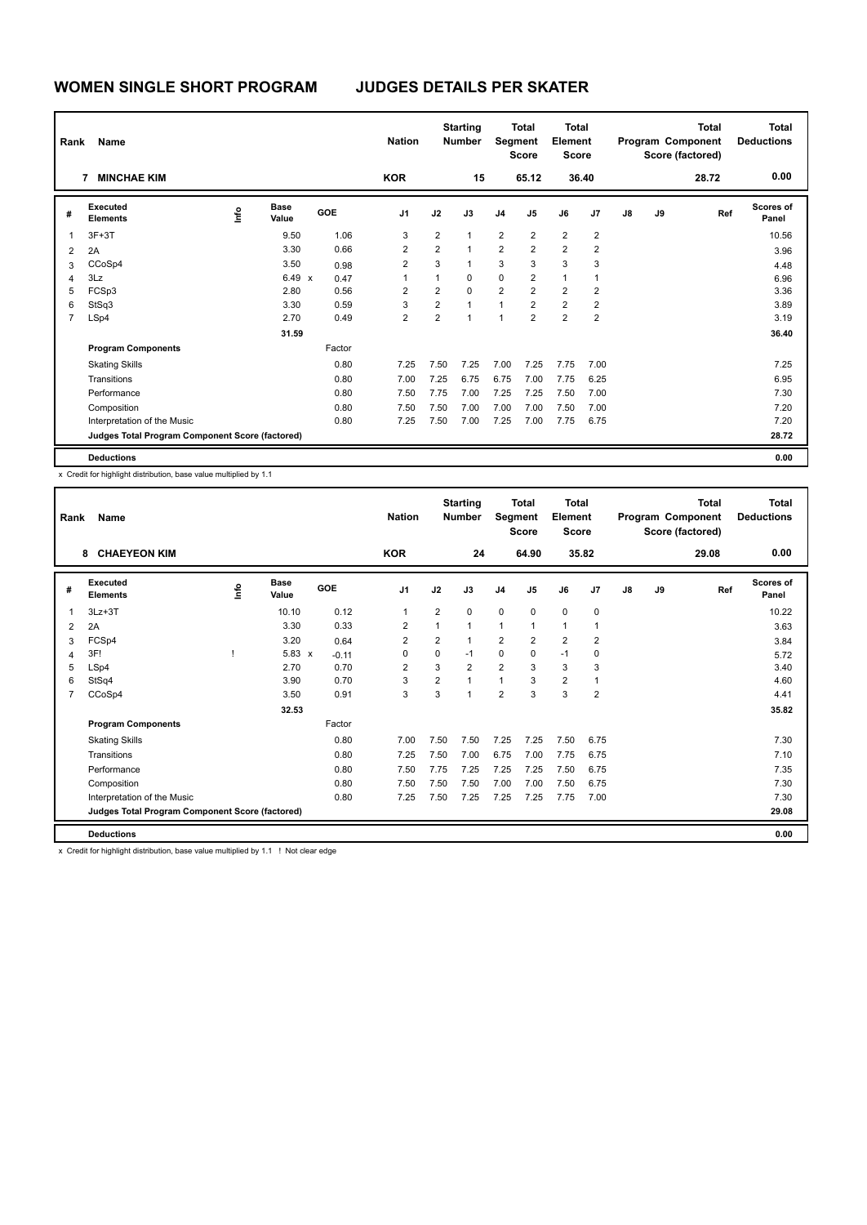| Rank           | Name                                            |      |                      |            | <b>Nation</b>           |                         | <b>Starting</b><br><b>Number</b> | Segment        | <b>Total</b><br><b>Score</b> | <b>Total</b><br>Element<br><b>Score</b> |                |    |    | <b>Total</b><br>Program Component<br>Score (factored) | <b>Total</b><br><b>Deductions</b> |
|----------------|-------------------------------------------------|------|----------------------|------------|-------------------------|-------------------------|----------------------------------|----------------|------------------------------|-----------------------------------------|----------------|----|----|-------------------------------------------------------|-----------------------------------|
|                | <b>MINCHAE KIM</b><br>7                         |      |                      |            | <b>KOR</b>              |                         | 15                               |                | 65.12                        |                                         | 36.40          |    |    | 28.72                                                 | 0.00                              |
| #              | Executed<br><b>Elements</b>                     | lnfo | <b>Base</b><br>Value | <b>GOE</b> | J <sub>1</sub>          | J2                      | J3                               | J <sub>4</sub> | J <sub>5</sub>               | J6                                      | J7             | J8 | J9 | Ref                                                   | <b>Scores of</b><br>Panel         |
| $\overline{1}$ | $3F+3T$                                         |      | 9.50                 | 1.06       | 3                       | $\overline{2}$          | $\mathbf{1}$                     | $\overline{2}$ | $\overline{2}$               | $\overline{2}$                          | $\overline{2}$ |    |    |                                                       | 10.56                             |
| $\overline{2}$ | 2A                                              |      | 3.30                 | 0.66       | $\overline{2}$          | $\overline{2}$          | $\mathbf{1}$                     | $\overline{2}$ | $\overline{2}$               | $\overline{2}$                          | 2              |    |    |                                                       | 3.96                              |
| 3              | CCoSp4                                          |      | 3.50                 | 0.98       | $\overline{\mathbf{c}}$ | 3                       | $\mathbf{1}$                     | 3              | 3                            | 3                                       | 3              |    |    |                                                       | 4.48                              |
| $\overline{4}$ | 3Lz                                             |      | $6.49 \times$        | 0.47       | 1                       | 1                       | 0                                | 0              | $\overline{2}$               | $\mathbf{1}$                            |                |    |    |                                                       | 6.96                              |
| 5              | FCSp3                                           |      | 2.80                 | 0.56       | 2                       | $\overline{\mathbf{c}}$ | $\mathbf 0$                      | $\overline{2}$ | $\overline{2}$               | $\overline{2}$                          | 2              |    |    |                                                       | 3.36                              |
| 6              | StSq3                                           |      | 3.30                 | 0.59       | 3                       | $\overline{2}$          | $\overline{1}$                   | 1              | $\overline{2}$               | $\overline{2}$                          | $\overline{2}$ |    |    |                                                       | 3.89                              |
| $\overline{7}$ | LSp4                                            |      | 2.70                 | 0.49       | $\overline{2}$          | $\overline{2}$          | $\overline{1}$                   | $\overline{1}$ | $\overline{2}$               | $\overline{2}$                          | $\overline{2}$ |    |    |                                                       | 3.19                              |
|                |                                                 |      | 31.59                |            |                         |                         |                                  |                |                              |                                         |                |    |    |                                                       | 36.40                             |
|                | <b>Program Components</b>                       |      |                      | Factor     |                         |                         |                                  |                |                              |                                         |                |    |    |                                                       |                                   |
|                | <b>Skating Skills</b>                           |      |                      | 0.80       | 7.25                    | 7.50                    | 7.25                             | 7.00           | 7.25                         | 7.75                                    | 7.00           |    |    |                                                       | 7.25                              |
|                | Transitions                                     |      |                      | 0.80       | 7.00                    | 7.25                    | 6.75                             | 6.75           | 7.00                         | 7.75                                    | 6.25           |    |    |                                                       | 6.95                              |
|                | Performance                                     |      |                      | 0.80       | 7.50                    | 7.75                    | 7.00                             | 7.25           | 7.25                         | 7.50                                    | 7.00           |    |    |                                                       | 7.30                              |
|                | Composition                                     |      |                      | 0.80       | 7.50                    | 7.50                    | 7.00                             | 7.00           | 7.00                         | 7.50                                    | 7.00           |    |    |                                                       | 7.20                              |
|                | Interpretation of the Music                     |      |                      | 0.80       | 7.25                    | 7.50                    | 7.00                             | 7.25           | 7.00                         | 7.75                                    | 6.75           |    |    |                                                       | 7.20                              |
|                | Judges Total Program Component Score (factored) |      |                      |            |                         |                         |                                  |                |                              |                                         |                |    |    |                                                       | 28.72                             |
|                | <b>Deductions</b>                               |      |                      |            |                         |                         |                                  |                |                              |                                         |                |    |    |                                                       | 0.00                              |

| Rank           | <b>Name</b>                                     |    |                      |         | <b>Nation</b>  |                | <b>Starting</b><br><b>Number</b> | Segment        | <b>Total</b><br><b>Score</b> | <b>Total</b><br>Element<br>Score |                |               |    | <b>Total</b><br>Program Component<br>Score (factored) | <b>Total</b><br><b>Deductions</b> |
|----------------|-------------------------------------------------|----|----------------------|---------|----------------|----------------|----------------------------------|----------------|------------------------------|----------------------------------|----------------|---------------|----|-------------------------------------------------------|-----------------------------------|
|                | <b>CHAEYEON KIM</b><br>8                        |    |                      |         | <b>KOR</b>     |                | 24                               |                | 64.90                        |                                  | 35.82          |               |    | 29.08                                                 | 0.00                              |
| #              | Executed<br><b>Elements</b>                     | ١m | <b>Base</b><br>Value | GOE     | J <sub>1</sub> | J2             | J3                               | J <sub>4</sub> | J <sub>5</sub>               | J6                               | J <sub>7</sub> | $\mathsf{J}8$ | J9 | Ref                                                   | <b>Scores of</b><br>Panel         |
| 1              | $3Lz + 3T$                                      |    | 10.10                | 0.12    | $\mathbf{1}$   | $\overline{2}$ | 0                                | $\mathbf 0$    | $\mathbf 0$                  | $\mathbf 0$                      | $\mathbf 0$    |               |    |                                                       | 10.22                             |
| 2              | 2A                                              |    | 3.30                 | 0.33    | $\overline{2}$ | 1              | 1                                | 1              | $\mathbf{1}$                 | $\mathbf{1}$                     | $\mathbf{1}$   |               |    |                                                       | 3.63                              |
| 3              | FCSp4                                           |    | 3.20                 | 0.64    | $\overline{2}$ | $\overline{2}$ | 1                                | $\overline{2}$ | $\overline{2}$               | $\overline{2}$                   | $\overline{2}$ |               |    |                                                       | 3.84                              |
| 4              | 3F!                                             |    | $5.83 \times$        | $-0.11$ | 0              | $\Omega$       | $-1$                             | $\mathbf 0$    | $\Omega$                     | $-1$                             | $\mathbf 0$    |               |    |                                                       | 5.72                              |
| 5              | LSp4                                            |    | 2.70                 | 0.70    | $\overline{2}$ | 3              | $\overline{2}$                   | $\overline{2}$ | 3                            | 3                                | 3              |               |    |                                                       | 3.40                              |
| 6              | StSq4                                           |    | 3.90                 | 0.70    | 3              | $\overline{2}$ | 1                                | $\overline{1}$ | 3                            | 2                                | $\overline{1}$ |               |    |                                                       | 4.60                              |
| $\overline{7}$ | CCoSp4                                          |    | 3.50                 | 0.91    | 3              | 3              | 1                                | $\overline{2}$ | 3                            | 3                                | $\overline{2}$ |               |    |                                                       | 4.41                              |
|                |                                                 |    | 32.53                |         |                |                |                                  |                |                              |                                  |                |               |    |                                                       | 35.82                             |
|                | <b>Program Components</b>                       |    |                      | Factor  |                |                |                                  |                |                              |                                  |                |               |    |                                                       |                                   |
|                | <b>Skating Skills</b>                           |    |                      | 0.80    | 7.00           | 7.50           | 7.50                             | 7.25           | 7.25                         | 7.50                             | 6.75           |               |    |                                                       | 7.30                              |
|                | Transitions                                     |    |                      | 0.80    | 7.25           | 7.50           | 7.00                             | 6.75           | 7.00                         | 7.75                             | 6.75           |               |    |                                                       | 7.10                              |
|                | Performance                                     |    |                      | 0.80    | 7.50           | 7.75           | 7.25                             | 7.25           | 7.25                         | 7.50                             | 6.75           |               |    |                                                       | 7.35                              |
|                | Composition                                     |    |                      | 0.80    | 7.50           | 7.50           | 7.50                             | 7.00           | 7.00                         | 7.50                             | 6.75           |               |    |                                                       | 7.30                              |
|                | Interpretation of the Music                     |    |                      | 0.80    | 7.25           | 7.50           | 7.25                             | 7.25           | 7.25                         | 7.75                             | 7.00           |               |    |                                                       | 7.30                              |
|                | Judges Total Program Component Score (factored) |    |                      |         |                |                |                                  |                |                              |                                  |                |               |    |                                                       | 29.08                             |
|                | <b>Deductions</b>                               |    |                      |         |                |                |                                  |                |                              |                                  |                |               |    |                                                       | 0.00                              |

x Credit for highlight distribution, base value multiplied by 1.1 ! Not clear edge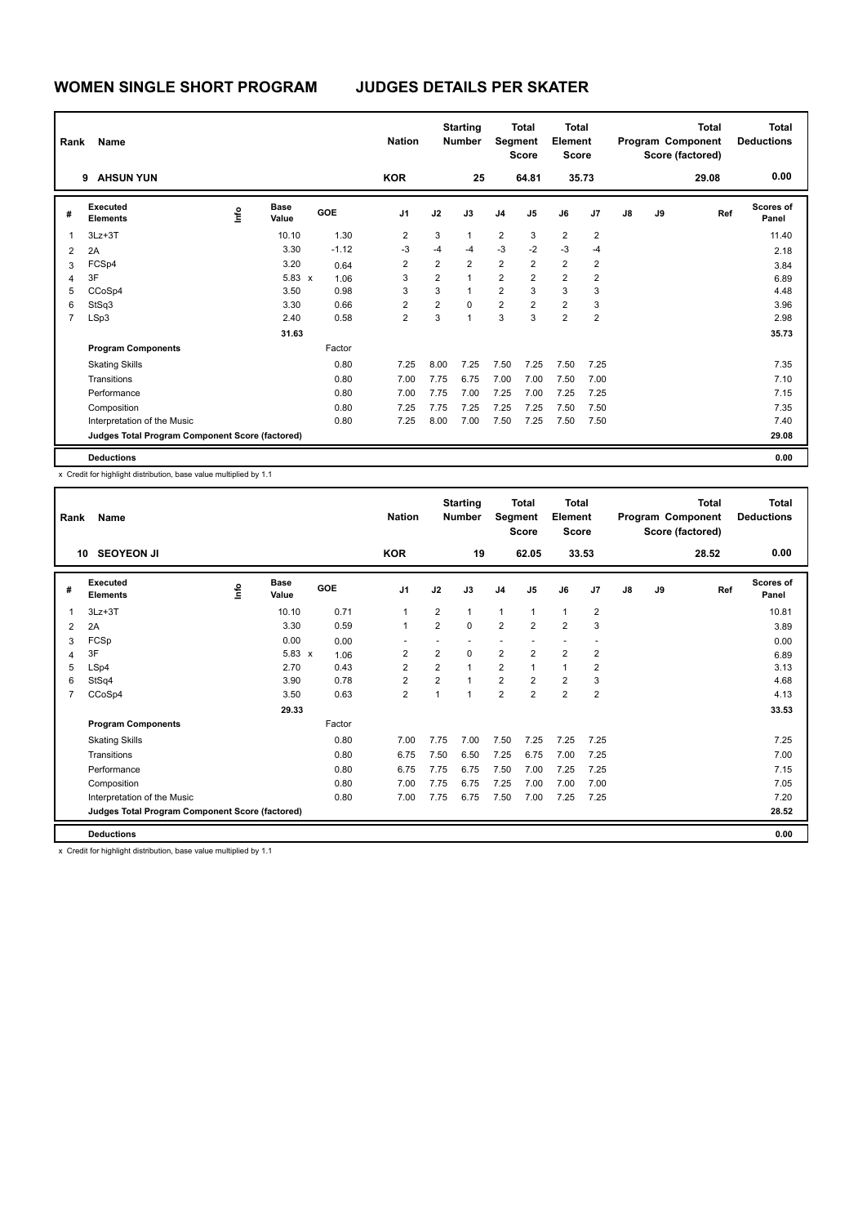| Rank                     | Name                                            |                | <b>Nation</b>        |            | <b>Starting</b><br><b>Number</b> | Segment        | <b>Total</b><br><b>Score</b> | Total<br>Element<br><b>Score</b> |                         |                |                | <b>Total</b><br>Program Component<br>Score (factored) | <b>Total</b><br><b>Deductions</b> |       |                           |
|--------------------------|-------------------------------------------------|----------------|----------------------|------------|----------------------------------|----------------|------------------------------|----------------------------------|-------------------------|----------------|----------------|-------------------------------------------------------|-----------------------------------|-------|---------------------------|
|                          | <b>AHSUN YUN</b><br>9                           |                |                      |            | <b>KOR</b>                       |                | 25                           |                                  | 64.81                   |                | 35.73          |                                                       |                                   | 29.08 | 0.00                      |
| #                        | Executed<br><b>Elements</b>                     | $\frac{6}{10}$ | <b>Base</b><br>Value | <b>GOE</b> | J <sub>1</sub>                   | J2             | J3                           | J <sub>4</sub>                   | J <sub>5</sub>          | J6             | J <sub>7</sub> | J8                                                    | J9                                | Ref   | <b>Scores of</b><br>Panel |
| $\overline{\phantom{a}}$ | $3Lz + 3T$                                      |                | 10.10                | 1.30       | 2                                | 3              | $\mathbf{1}$                 | $\overline{2}$                   | 3                       | $\overline{2}$ | 2              |                                                       |                                   |       | 11.40                     |
| $\overline{2}$           | 2A                                              |                | 3.30                 | $-1.12$    | -3                               | $-4$           | $-4$                         | $-3$                             | $-2$                    | $-3$           | $-4$           |                                                       |                                   |       | 2.18                      |
| 3                        | FCSp4                                           |                | 3.20                 | 0.64       | $\overline{\mathbf{c}}$          | $\overline{2}$ | $\overline{2}$               | $\overline{2}$                   | $\overline{2}$          | $\overline{2}$ | $\overline{2}$ |                                                       |                                   |       | 3.84                      |
| 4                        | 3F                                              |                | 5.83 x               | 1.06       | 3                                | $\overline{2}$ | $\mathbf{1}$                 | $\overline{2}$                   | $\overline{\mathbf{c}}$ | $\overline{2}$ | 2              |                                                       |                                   |       | 6.89                      |
| 5                        | CCoSp4                                          |                | 3.50                 | 0.98       | 3                                | 3              | $\mathbf{1}$                 | $\overline{2}$                   | 3                       | 3              | 3              |                                                       |                                   |       | 4.48                      |
| 6                        | StSq3                                           |                | 3.30                 | 0.66       | $\overline{2}$                   | $\overline{2}$ | $\Omega$                     | $\overline{2}$                   | $\overline{2}$          | $\overline{2}$ | 3              |                                                       |                                   |       | 3.96                      |
| 7                        | LSp3                                            |                | 2.40                 | 0.58       | $\overline{2}$                   | 3              | $\overline{1}$               | 3                                | 3                       | $\overline{2}$ | $\overline{2}$ |                                                       |                                   |       | 2.98                      |
|                          |                                                 |                | 31.63                |            |                                  |                |                              |                                  |                         |                |                |                                                       |                                   |       | 35.73                     |
|                          | <b>Program Components</b>                       |                |                      | Factor     |                                  |                |                              |                                  |                         |                |                |                                                       |                                   |       |                           |
|                          | <b>Skating Skills</b>                           |                |                      | 0.80       | 7.25                             | 8.00           | 7.25                         | 7.50                             | 7.25                    | 7.50           | 7.25           |                                                       |                                   |       | 7.35                      |
|                          | Transitions                                     |                |                      | 0.80       | 7.00                             | 7.75           | 6.75                         | 7.00                             | 7.00                    | 7.50           | 7.00           |                                                       |                                   |       | 7.10                      |
|                          | Performance                                     |                |                      | 0.80       | 7.00                             | 7.75           | 7.00                         | 7.25                             | 7.00                    | 7.25           | 7.25           |                                                       |                                   |       | 7.15                      |
|                          | Composition                                     |                |                      | 0.80       | 7.25                             | 7.75           | 7.25                         | 7.25                             | 7.25                    | 7.50           | 7.50           |                                                       |                                   |       | 7.35                      |
|                          | Interpretation of the Music                     |                |                      | 0.80       | 7.25                             | 8.00           | 7.00                         | 7.50                             | 7.25                    | 7.50           | 7.50           |                                                       |                                   |       | 7.40                      |
|                          | Judges Total Program Component Score (factored) |                |                      |            |                                  |                |                              |                                  |                         |                |                |                                                       |                                   |       | 29.08                     |
|                          | <b>Deductions</b>                               |                |                      |            |                                  |                |                              |                                  |                         |                |                |                                                       |                                   |       | 0.00                      |

| Rank | Name                                            |      |                      |        | <b>Nation</b>           |                | <b>Starting</b><br><b>Number</b> | Segment        | <b>Total</b><br><b>Score</b> | <b>Total</b><br>Element<br><b>Score</b> |                |               |    | <b>Total</b><br>Program Component<br>Score (factored) | Total<br><b>Deductions</b> |
|------|-------------------------------------------------|------|----------------------|--------|-------------------------|----------------|----------------------------------|----------------|------------------------------|-----------------------------------------|----------------|---------------|----|-------------------------------------------------------|----------------------------|
|      | <b>SEOYEON JI</b><br>10                         |      |                      |        | <b>KOR</b>              |                | 19                               |                | 62.05                        |                                         | 33.53          |               |    | 28.52                                                 | 0.00                       |
| #    | Executed<br><b>Elements</b>                     | ١mfo | <b>Base</b><br>Value | GOE    | J <sub>1</sub>          | J2             | J3                               | J <sub>4</sub> | J5                           | J6                                      | J <sub>7</sub> | $\mathsf{J}8$ | J9 | Ref                                                   | Scores of<br>Panel         |
| 1    | $3Lz + 3T$                                      |      | 10.10                | 0.71   | $\mathbf{1}$            | $\overline{2}$ | 1                                | $\mathbf{1}$   | $\mathbf{1}$                 | $\mathbf{1}$                            | $\overline{2}$ |               |    |                                                       | 10.81                      |
| 2    | 2A                                              |      | 3.30                 | 0.59   | $\mathbf{1}$            | $\overline{2}$ | $\Omega$                         | $\overline{2}$ | $\overline{2}$               | $\overline{2}$                          | 3              |               |    |                                                       | 3.89                       |
| 3    | FCSp                                            |      | 0.00                 | 0.00   |                         |                |                                  |                |                              |                                         |                |               |    |                                                       | 0.00                       |
| 4    | 3F                                              |      | 5.83 x               | 1.06   | $\overline{2}$          | $\overline{2}$ | 0                                | $\overline{2}$ | $\overline{2}$               | $\overline{2}$                          | $\overline{2}$ |               |    |                                                       | 6.89                       |
| 5    | LSp4                                            |      | 2.70                 | 0.43   | $\overline{2}$          | $\overline{2}$ | 1                                | $\overline{2}$ | $\mathbf{1}$                 | $\mathbf{1}$                            | $\overline{2}$ |               |    |                                                       | 3.13                       |
| 6    | StSq4                                           |      | 3.90                 | 0.78   | $\overline{\mathbf{c}}$ | $\overline{2}$ |                                  | $\overline{2}$ | $\overline{2}$               | 2                                       | 3              |               |    |                                                       | 4.68                       |
| 7    | CCoSp4                                          |      | 3.50                 | 0.63   | $\overline{2}$          | 1              | 1                                | $\overline{2}$ | $\overline{2}$               | $\overline{2}$                          | $\overline{2}$ |               |    |                                                       | 4.13                       |
|      |                                                 |      | 29.33                |        |                         |                |                                  |                |                              |                                         |                |               |    |                                                       | 33.53                      |
|      | <b>Program Components</b>                       |      |                      | Factor |                         |                |                                  |                |                              |                                         |                |               |    |                                                       |                            |
|      | <b>Skating Skills</b>                           |      |                      | 0.80   | 7.00                    | 7.75           | 7.00                             | 7.50           | 7.25                         | 7.25                                    | 7.25           |               |    |                                                       | 7.25                       |
|      | Transitions                                     |      |                      | 0.80   | 6.75                    | 7.50           | 6.50                             | 7.25           | 6.75                         | 7.00                                    | 7.25           |               |    |                                                       | 7.00                       |
|      | Performance                                     |      |                      | 0.80   | 6.75                    | 7.75           | 6.75                             | 7.50           | 7.00                         | 7.25                                    | 7.25           |               |    |                                                       | 7.15                       |
|      | Composition                                     |      |                      | 0.80   | 7.00                    | 7.75           | 6.75                             | 7.25           | 7.00                         | 7.00                                    | 7.00           |               |    |                                                       | 7.05                       |
|      | Interpretation of the Music                     |      |                      | 0.80   | 7.00                    | 7.75           | 6.75                             | 7.50           | 7.00                         | 7.25                                    | 7.25           |               |    |                                                       | 7.20                       |
|      | Judges Total Program Component Score (factored) |      |                      |        |                         |                |                                  |                |                              |                                         |                |               |    |                                                       | 28.52                      |
|      | <b>Deductions</b>                               |      |                      |        |                         |                |                                  |                |                              |                                         |                |               |    |                                                       | 0.00                       |
|      |                                                 | .    |                      |        |                         |                |                                  |                |                              |                                         |                |               |    |                                                       |                            |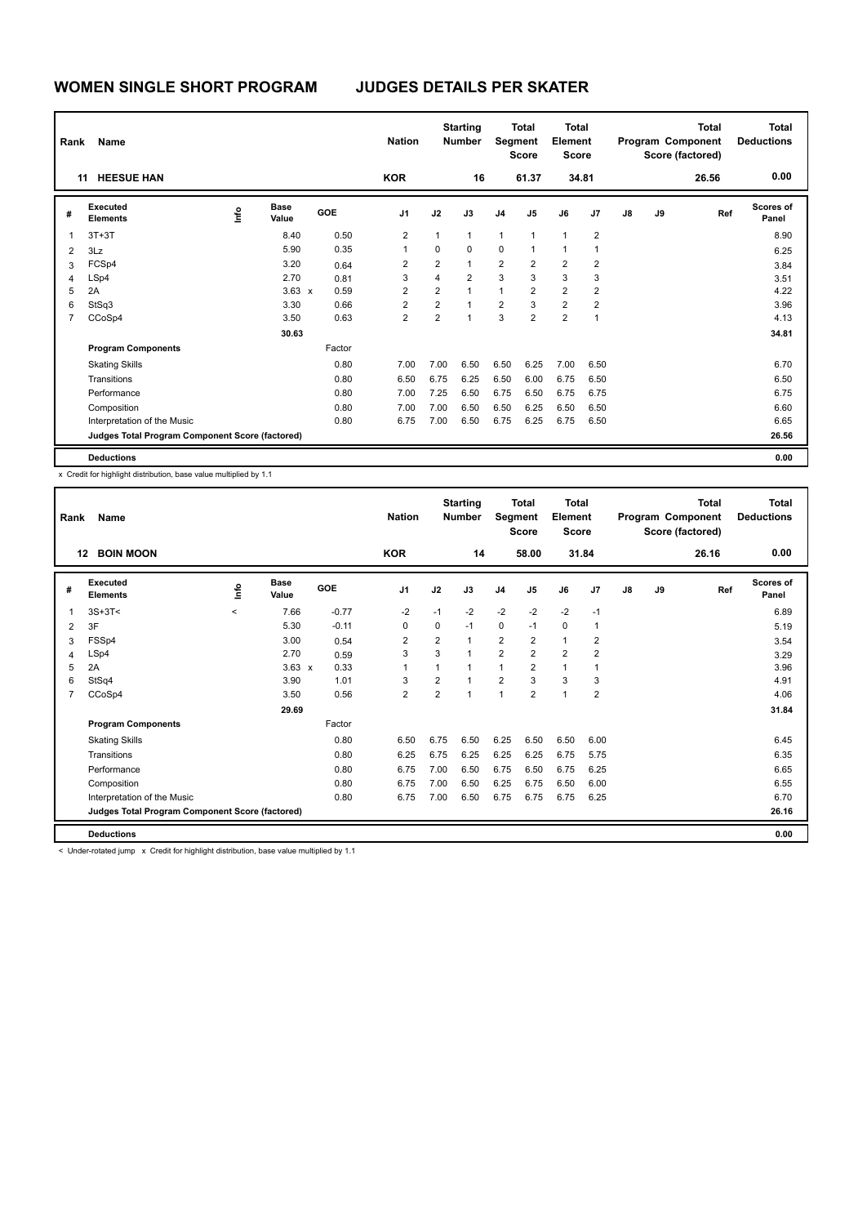| Rank           | Name                                            |                |                      |            | <b>Nation</b>  |                | <b>Starting</b><br><b>Number</b> | Segment        | <b>Total</b><br><b>Score</b> | Total<br>Element<br><b>Score</b> |                |    |    | Total<br>Program Component<br>Score (factored) | <b>Total</b><br><b>Deductions</b> |
|----------------|-------------------------------------------------|----------------|----------------------|------------|----------------|----------------|----------------------------------|----------------|------------------------------|----------------------------------|----------------|----|----|------------------------------------------------|-----------------------------------|
|                | <b>HEESUE HAN</b><br>11                         |                |                      |            | <b>KOR</b>     |                | 16                               |                | 61.37                        |                                  | 34.81          |    |    | 26.56                                          | 0.00                              |
| #              | Executed<br><b>Elements</b>                     | $\frac{6}{10}$ | <b>Base</b><br>Value | <b>GOE</b> | J <sub>1</sub> | J2             | J3                               | J <sub>4</sub> | J <sub>5</sub>               | J6                               | J <sub>7</sub> | J8 | J9 | Ref                                            | <b>Scores of</b><br>Panel         |
| 1              | $3T+3T$                                         |                | 8.40                 | 0.50       | 2              | 1              | $\mathbf{1}$                     | $\mathbf{1}$   | $\mathbf{1}$                 | $\mathbf{1}$                     | 2              |    |    |                                                | 8.90                              |
| $\overline{2}$ | 3Lz                                             |                | 5.90                 | 0.35       | 1              | 0              | $\mathbf 0$                      | 0              | $\mathbf{1}$                 | $\mathbf{1}$                     | 1              |    |    |                                                | 6.25                              |
| 3              | FCSp4                                           |                | 3.20                 | 0.64       | $\overline{2}$ | $\overline{2}$ | $\mathbf{1}$                     | $\overline{2}$ | $\overline{2}$               | $\overline{2}$                   | $\overline{2}$ |    |    |                                                | 3.84                              |
| $\overline{4}$ | LSp4                                            |                | 2.70                 | 0.81       | 3              | 4              | $\overline{2}$                   | 3              | 3                            | 3                                | 3              |    |    |                                                | 3.51                              |
| 5              | 2A                                              |                | $3.63 \times$        | 0.59       | 2              | $\overline{2}$ | $\mathbf{1}$                     | $\mathbf{1}$   | $\overline{\mathbf{c}}$      | $\overline{2}$                   | 2              |    |    |                                                | 4.22                              |
| 6              | StSq3                                           |                | 3.30                 | 0.66       | $\overline{2}$ | $\overline{2}$ | $\blacktriangleleft$             | $\overline{2}$ | 3                            | $\overline{2}$                   | $\overline{2}$ |    |    |                                                | 3.96                              |
| $\overline{7}$ | CCoSp4                                          |                | 3.50                 | 0.63       | $\overline{2}$ | $\overline{2}$ | $\overline{1}$                   | 3              | $\overline{2}$               | $\overline{2}$                   | 1              |    |    |                                                | 4.13                              |
|                |                                                 |                | 30.63                |            |                |                |                                  |                |                              |                                  |                |    |    |                                                | 34.81                             |
|                | <b>Program Components</b>                       |                |                      | Factor     |                |                |                                  |                |                              |                                  |                |    |    |                                                |                                   |
|                | <b>Skating Skills</b>                           |                |                      | 0.80       | 7.00           | 7.00           | 6.50                             | 6.50           | 6.25                         | 7.00                             | 6.50           |    |    |                                                | 6.70                              |
|                | Transitions                                     |                |                      | 0.80       | 6.50           | 6.75           | 6.25                             | 6.50           | 6.00                         | 6.75                             | 6.50           |    |    |                                                | 6.50                              |
|                | Performance                                     |                |                      | 0.80       | 7.00           | 7.25           | 6.50                             | 6.75           | 6.50                         | 6.75                             | 6.75           |    |    |                                                | 6.75                              |
|                | Composition                                     |                |                      | 0.80       | 7.00           | 7.00           | 6.50                             | 6.50           | 6.25                         | 6.50                             | 6.50           |    |    |                                                | 6.60                              |
|                | Interpretation of the Music                     |                |                      | 0.80       | 6.75           | 7.00           | 6.50                             | 6.75           | 6.25                         | 6.75                             | 6.50           |    |    |                                                | 6.65                              |
|                | Judges Total Program Component Score (factored) |                |                      |            |                |                |                                  |                |                              |                                  |                |    |    |                                                | 26.56                             |
|                | <b>Deductions</b>                               |                |                      |            |                |                |                                  |                |                              |                                  |                |    |    |                                                | 0.00                              |

| Rank           | Name                                                                                   |         |                      |            | <b>Nation</b>  |                | <b>Starting</b><br><b>Number</b> | <b>Segment</b> | <b>Total</b><br><b>Score</b> | <b>Total</b><br>Element<br>Score |                |               |    | <b>Total</b><br>Program Component<br>Score (factored) | Total<br><b>Deductions</b> |
|----------------|----------------------------------------------------------------------------------------|---------|----------------------|------------|----------------|----------------|----------------------------------|----------------|------------------------------|----------------------------------|----------------|---------------|----|-------------------------------------------------------|----------------------------|
| 12             | <b>BOIN MOON</b>                                                                       |         |                      |            | <b>KOR</b>     |                | 14                               |                | 58.00                        |                                  | 31.84          |               |    | 26.16                                                 | 0.00                       |
| #              | Executed<br><b>Elements</b>                                                            | ١m      | <b>Base</b><br>Value | <b>GOE</b> | J <sub>1</sub> | J2             | J3                               | J <sub>4</sub> | J <sub>5</sub>               | J6                               | J <sub>7</sub> | $\mathsf{J}8$ | J9 | Ref                                                   | <b>Scores of</b><br>Panel  |
| 1              | $3S+3T<$                                                                               | $\prec$ | 7.66                 | $-0.77$    | $-2$           | $-1$           | $-2$                             | $-2$           | $-2$                         | $-2$                             | $-1$           |               |    |                                                       | 6.89                       |
| 2              | 3F                                                                                     |         | 5.30                 | $-0.11$    | 0              | 0              | $-1$                             | $\mathbf 0$    | $-1$                         | 0                                | $\mathbf{1}$   |               |    |                                                       | 5.19                       |
| 3              | FSSp4                                                                                  |         | 3.00                 | 0.54       | $\overline{2}$ | $\overline{2}$ | 1                                | $\overline{2}$ | $\overline{2}$               | $\mathbf{1}$                     | $\overline{2}$ |               |    |                                                       | 3.54                       |
| 4              | LSp4                                                                                   |         | 2.70                 | 0.59       | 3              | 3              | 1                                | $\overline{2}$ | $\overline{2}$               | $\overline{2}$                   | $\overline{2}$ |               |    |                                                       | 3.29                       |
| 5              | 2A                                                                                     |         | $3.63 \times$        | 0.33       | $\overline{1}$ | 1              | 1                                | $\overline{1}$ | $\overline{2}$               | 1                                | 1              |               |    |                                                       | 3.96                       |
| 6              | StSq4                                                                                  |         | 3.90                 | 1.01       | 3              | $\overline{2}$ | 1                                | $\overline{2}$ | 3                            | 3                                | 3              |               |    |                                                       | 4.91                       |
| $\overline{7}$ | CCoSp4                                                                                 |         | 3.50                 | 0.56       | $\overline{2}$ | $\overline{2}$ | 1                                | $\overline{1}$ | $\overline{2}$               | $\mathbf{1}$                     | $\overline{2}$ |               |    |                                                       | 4.06                       |
|                |                                                                                        |         | 29.69                |            |                |                |                                  |                |                              |                                  |                |               |    |                                                       | 31.84                      |
|                | <b>Program Components</b>                                                              |         |                      | Factor     |                |                |                                  |                |                              |                                  |                |               |    |                                                       |                            |
|                | <b>Skating Skills</b>                                                                  |         |                      | 0.80       | 6.50           | 6.75           | 6.50                             | 6.25           | 6.50                         | 6.50                             | 6.00           |               |    |                                                       | 6.45                       |
|                | Transitions                                                                            |         |                      | 0.80       | 6.25           | 6.75           | 6.25                             | 6.25           | 6.25                         | 6.75                             | 5.75           |               |    |                                                       | 6.35                       |
|                | Performance                                                                            |         |                      | 0.80       | 6.75           | 7.00           | 6.50                             | 6.75           | 6.50                         | 6.75                             | 6.25           |               |    |                                                       | 6.65                       |
|                | Composition                                                                            |         |                      | 0.80       | 6.75           | 7.00           | 6.50                             | 6.25           | 6.75                         | 6.50                             | 6.00           |               |    |                                                       | 6.55                       |
|                | Interpretation of the Music                                                            |         |                      | 0.80       | 6.75           | 7.00           | 6.50                             | 6.75           | 6.75                         | 6.75                             | 6.25           |               |    |                                                       | 6.70                       |
|                | Judges Total Program Component Score (factored)                                        |         |                      |            |                |                |                                  |                |                              |                                  |                |               |    |                                                       | 26.16                      |
|                | <b>Deductions</b>                                                                      |         |                      |            |                |                |                                  |                |                              |                                  |                |               |    |                                                       | 0.00                       |
|                | < Under-rotated jump x Credit for highlight distribution, base value multiplied by 1.1 |         |                      |            |                |                |                                  |                |                              |                                  |                |               |    |                                                       |                            |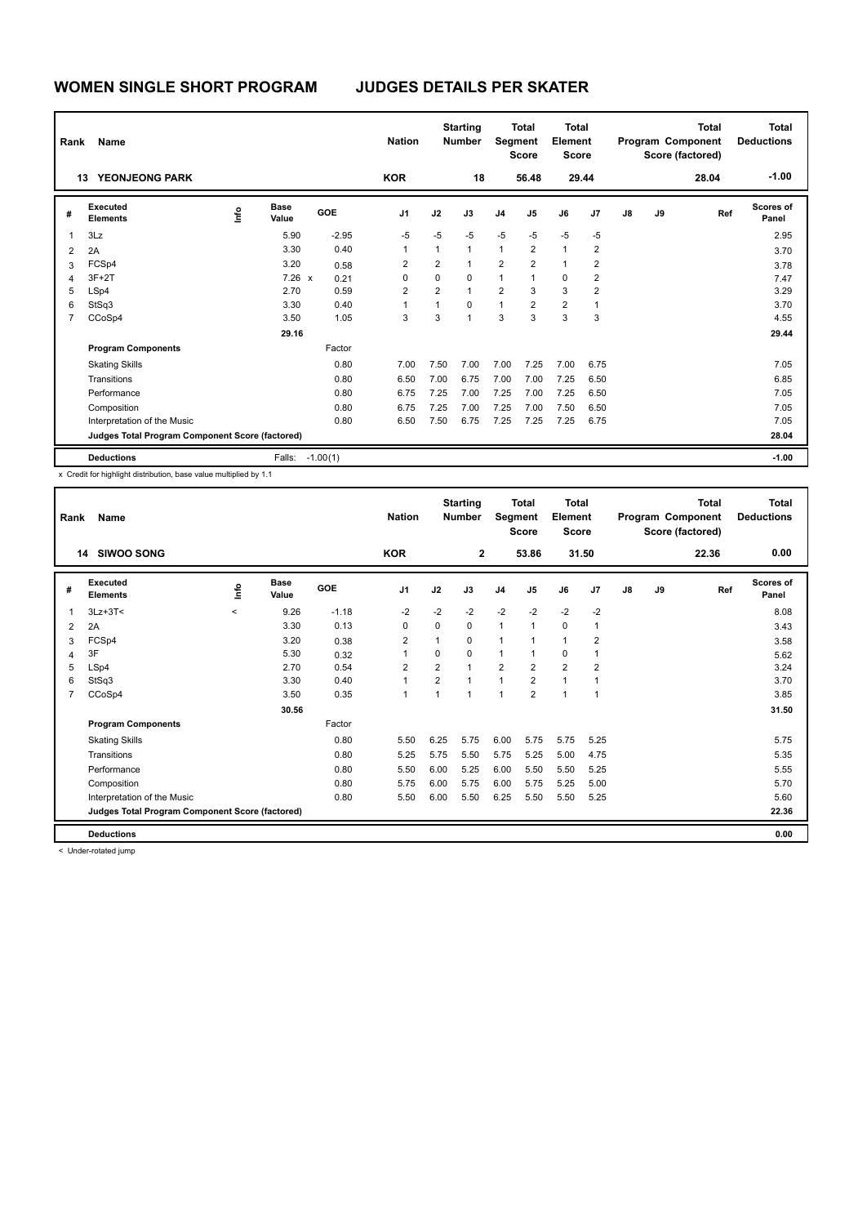| Rank                    | Name<br><b>YEONJEONG PARK</b><br>13             |      |                      |            |                |                | <b>Starting</b><br><b>Number</b> | Segment        | <b>Total</b><br><b>Score</b> | Total<br>Element<br><b>Score</b> |                |    |    | <b>Total</b><br>Program Component<br>Score (factored) | <b>Total</b><br><b>Deductions</b> |
|-------------------------|-------------------------------------------------|------|----------------------|------------|----------------|----------------|----------------------------------|----------------|------------------------------|----------------------------------|----------------|----|----|-------------------------------------------------------|-----------------------------------|
|                         |                                                 |      |                      |            | <b>KOR</b>     |                | 18                               |                | 56.48                        |                                  | 29.44          |    |    | 28.04                                                 | $-1.00$                           |
| #                       | Executed<br><b>Elements</b>                     | lnfo | <b>Base</b><br>Value | GOE        | J <sub>1</sub> | J2             | J3                               | J <sub>4</sub> | J5                           | J6                               | J7             | J8 | J9 | Ref                                                   | Scores of<br>Panel                |
| $\overline{\mathbf{1}}$ | 3Lz                                             |      | 5.90                 | $-2.95$    | $-5$           | $-5$           | $-5$                             | $-5$           | $-5$                         | $-5$                             | $-5$           |    |    |                                                       | 2.95                              |
| $\overline{2}$          | 2A                                              |      | 3.30                 | 0.40       | 1              | 1              | $\mathbf{1}$                     | $\mathbf{1}$   | $\overline{2}$               | $\mathbf{1}$                     | $\overline{2}$ |    |    |                                                       | 3.70                              |
| 3                       | FCSp4                                           |      | 3.20                 | 0.58       | 2              | $\overline{2}$ | $\mathbf{1}$                     | $\overline{2}$ | $\overline{2}$               | $\mathbf{1}$                     | 2              |    |    |                                                       | 3.78                              |
| $\overline{4}$          | $3F+2T$                                         |      | $7.26 \times$        | 0.21       | 0              | 0              | $\Omega$                         | $\mathbf{1}$   | $\overline{1}$               | 0                                | 2              |    |    |                                                       | 7.47                              |
| 5                       | LSp4                                            |      | 2.70                 | 0.59       | $\overline{2}$ | $\overline{2}$ | $\overline{1}$                   | $\overline{2}$ | 3                            | 3                                | $\overline{2}$ |    |    |                                                       | 3.29                              |
| 6                       | StSq3                                           |      | 3.30                 | 0.40       | $\overline{1}$ | $\overline{1}$ | $\Omega$                         | 1              | $\overline{2}$               | $\overline{2}$                   | 1              |    |    |                                                       | 3.70                              |
| 7                       | CCoSp4                                          |      | 3.50                 | 1.05       | 3              | 3              | $\overline{1}$                   | 3              | 3                            | 3                                | 3              |    |    |                                                       | 4.55                              |
|                         |                                                 |      | 29.16                |            |                |                |                                  |                |                              |                                  |                |    |    |                                                       | 29.44                             |
|                         | <b>Program Components</b>                       |      |                      | Factor     |                |                |                                  |                |                              |                                  |                |    |    |                                                       |                                   |
|                         | <b>Skating Skills</b>                           |      |                      | 0.80       | 7.00           | 7.50           | 7.00                             | 7.00           | 7.25                         | 7.00                             | 6.75           |    |    |                                                       | 7.05                              |
|                         | Transitions                                     |      |                      | 0.80       | 6.50           | 7.00           | 6.75                             | 7.00           | 7.00                         | 7.25                             | 6.50           |    |    |                                                       | 6.85                              |
|                         | Performance                                     |      |                      | 0.80       | 6.75           | 7.25           | 7.00                             | 7.25           | 7.00                         | 7.25                             | 6.50           |    |    |                                                       | 7.05                              |
|                         | Composition                                     |      |                      | 0.80       | 6.75           | 7.25           | 7.00                             | 7.25           | 7.00                         | 7.50                             | 6.50           |    |    |                                                       | 7.05                              |
|                         | Interpretation of the Music                     |      |                      | 0.80       | 6.50           | 7.50           | 6.75                             | 7.25           | 7.25                         | 7.25                             | 6.75           |    |    |                                                       | 7.05                              |
|                         | Judges Total Program Component Score (factored) |      |                      |            |                |                |                                  |                |                              |                                  |                |    |    |                                                       | 28.04                             |
|                         | <b>Deductions</b>                               |      | Falls:               | $-1.00(1)$ |                |                |                                  |                |                              |                                  |                |    |    |                                                       | $-1.00$                           |

| Rank         | Name<br><b>SIWOO SONG</b><br>14                 |         |                      |         | <b>Nation</b>  |                | <b>Starting</b><br><b>Number</b> | Segment        | <b>Total</b><br><b>Score</b> | <b>Total</b><br>Element<br><b>Score</b> |                |               |    | <b>Total</b><br>Program Component<br>Score (factored) | Total<br><b>Deductions</b> |
|--------------|-------------------------------------------------|---------|----------------------|---------|----------------|----------------|----------------------------------|----------------|------------------------------|-----------------------------------------|----------------|---------------|----|-------------------------------------------------------|----------------------------|
|              |                                                 |         |                      |         | <b>KOR</b>     |                | $\overline{2}$                   |                | 53.86                        |                                         | 31.50          |               |    | 22.36                                                 | 0.00                       |
| #            | Executed<br><b>Elements</b>                     | lnfo    | <b>Base</b><br>Value | GOE     | J <sub>1</sub> | J2             | J3                               | J <sub>4</sub> | J5                           | J6                                      | J7             | $\mathsf{J}8$ | J9 | Ref                                                   | Scores of<br>Panel         |
| $\mathbf{1}$ | $3Lz + 3T <$                                    | $\prec$ | 9.26                 | $-1.18$ | $-2$           | $-2$           | $-2$                             | $-2$           | $-2$                         | $-2$                                    | $-2$           |               |    |                                                       | 8.08                       |
| 2            | 2A                                              |         | 3.30                 | 0.13    | $\mathbf 0$    | $\Omega$       | 0                                | $\mathbf{1}$   | $\mathbf{1}$                 | 0                                       | $\mathbf{1}$   |               |    |                                                       | 3.43                       |
| 3            | FCSp4                                           |         | 3.20                 | 0.38    | 2              | 1              | 0                                | $\mathbf{1}$   | 1                            | $\mathbf{1}$                            | 2              |               |    |                                                       | 3.58                       |
| 4            | 3F                                              |         | 5.30                 | 0.32    | $\overline{1}$ | $\mathbf 0$    | 0                                | $\mathbf{1}$   | $\mathbf{1}$                 | 0                                       | $\overline{1}$ |               |    |                                                       | 5.62                       |
| 5            | LSp4                                            |         | 2.70                 | 0.54    | $\overline{2}$ | $\overline{2}$ | $\overline{1}$                   | $\overline{2}$ | $\overline{2}$               | $\overline{2}$                          | $\overline{2}$ |               |    |                                                       | 3.24                       |
| 6            | StSq3                                           |         | 3.30                 | 0.40    | 1              | $\overline{2}$ | 1                                | $\mathbf{1}$   | $\overline{2}$               | 1                                       | $\overline{1}$ |               |    |                                                       | 3.70                       |
| 7            | CCoSp4                                          |         | 3.50                 | 0.35    | $\mathbf{1}$   | $\mathbf{1}$   | 1                                | $\overline{1}$ | $\overline{2}$               | $\mathbf{1}$                            | $\mathbf{1}$   |               |    |                                                       | 3.85                       |
|              |                                                 |         | 30.56                |         |                |                |                                  |                |                              |                                         |                |               |    |                                                       | 31.50                      |
|              | <b>Program Components</b>                       |         |                      | Factor  |                |                |                                  |                |                              |                                         |                |               |    |                                                       |                            |
|              | <b>Skating Skills</b>                           |         |                      | 0.80    | 5.50           | 6.25           | 5.75                             | 6.00           | 5.75                         | 5.75                                    | 5.25           |               |    |                                                       | 5.75                       |
|              | Transitions                                     |         |                      | 0.80    | 5.25           | 5.75           | 5.50                             | 5.75           | 5.25                         | 5.00                                    | 4.75           |               |    |                                                       | 5.35                       |
|              | Performance                                     |         |                      | 0.80    | 5.50           | 6.00           | 5.25                             | 6.00           | 5.50                         | 5.50                                    | 5.25           |               |    |                                                       | 5.55                       |
|              | Composition                                     |         |                      | 0.80    | 5.75           | 6.00           | 5.75                             | 6.00           | 5.75                         | 5.25                                    | 5.00           |               |    |                                                       | 5.70                       |
|              | Interpretation of the Music                     |         |                      | 0.80    | 5.50           | 6.00           | 5.50                             | 6.25           | 5.50                         | 5.50                                    | 5.25           |               |    |                                                       | 5.60                       |
|              | Judges Total Program Component Score (factored) |         |                      |         |                |                |                                  |                |                              |                                         |                |               |    |                                                       | 22.36                      |
|              | <b>Deductions</b>                               |         |                      |         |                |                |                                  |                |                              |                                         |                |               |    |                                                       | 0.00                       |
|              |                                                 |         |                      |         |                |                |                                  |                |                              |                                         |                |               |    |                                                       |                            |

< Under-rotated jump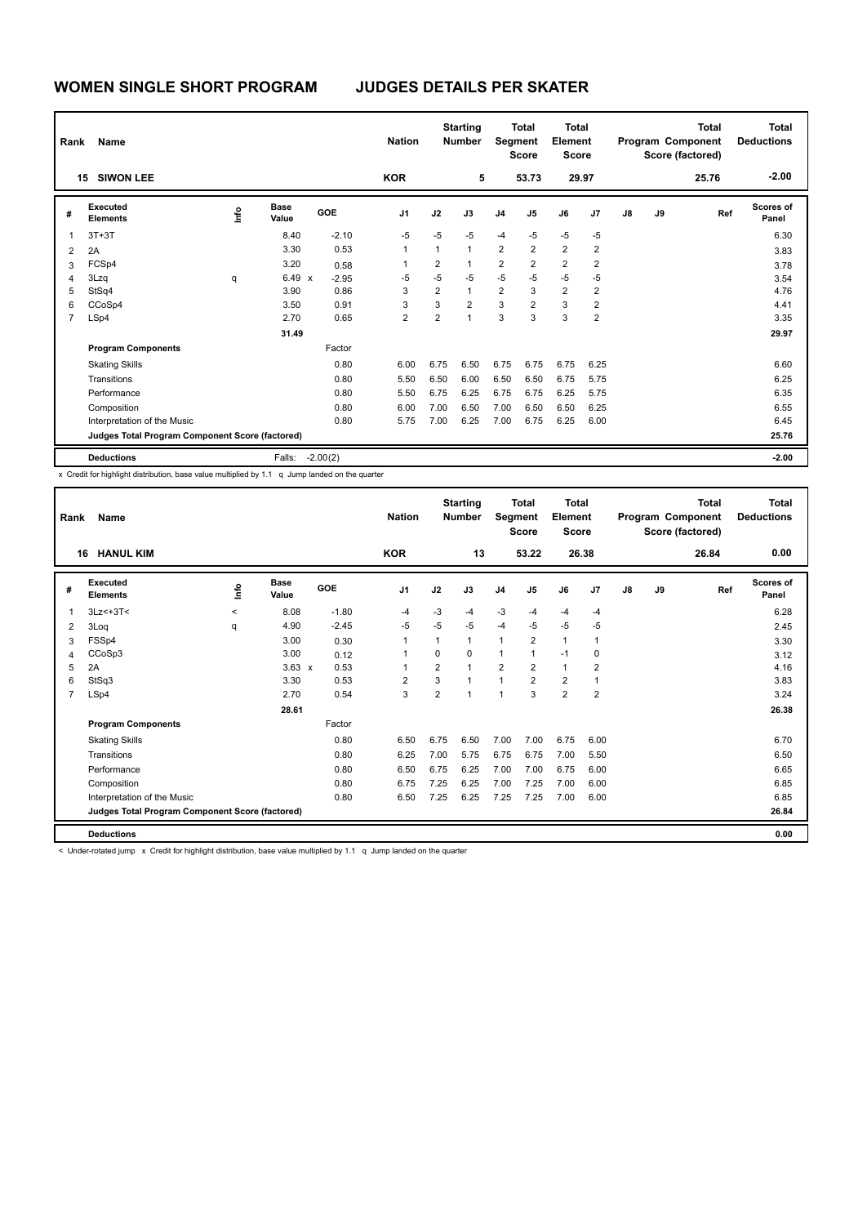| Rank                    | <b>Name</b><br>15                               |      |                      |            | <b>Nation</b>  |                | <b>Starting</b><br><b>Number</b> | Segment                 | <b>Total</b><br><b>Score</b> | Total<br><b>Element</b><br><b>Score</b> |                |    |    | <b>Total</b><br>Program Component<br>Score (factored) | <b>Total</b><br><b>Deductions</b> |
|-------------------------|-------------------------------------------------|------|----------------------|------------|----------------|----------------|----------------------------------|-------------------------|------------------------------|-----------------------------------------|----------------|----|----|-------------------------------------------------------|-----------------------------------|
|                         | <b>SIWON LEE</b>                                |      |                      |            | <b>KOR</b>     |                | 5                                |                         | 53.73                        | 29.97                                   |                |    |    | 25.76                                                 | $-2.00$                           |
| #                       | Executed<br><b>Elements</b>                     | lnfo | <b>Base</b><br>Value | GOE        | J <sub>1</sub> | J2             | J3                               | J <sub>4</sub>          | J5                           | J6                                      | J7             | J8 | J9 | Ref                                                   | <b>Scores of</b><br>Panel         |
| $\overline{\mathbf{1}}$ | $3T+3T$                                         |      | 8.40                 | $-2.10$    | $-5$           | $-5$           | $-5$                             | $-4$                    | $-5$                         | $-5$                                    | $-5$           |    |    |                                                       | 6.30                              |
| $\overline{2}$          | 2A                                              |      | 3.30                 | 0.53       | 1              | 1              | $\mathbf{1}$                     | $\overline{2}$          | $\overline{2}$               | $\overline{2}$                          | $\overline{2}$ |    |    |                                                       | 3.83                              |
| 3                       | FCSp4                                           |      | 3.20                 | 0.58       | 1              | 2              | $\mathbf 1$                      | $\overline{\mathbf{c}}$ | $\overline{2}$               | $\overline{2}$                          | 2              |    |    |                                                       | 3.78                              |
| $\overline{4}$          | 3Lzq                                            | q    | $6.49 \times$        | $-2.95$    | $-5$           | $-5$           | $-5$                             | $-5$                    | $-5$                         | $-5$                                    | $-5$           |    |    |                                                       | 3.54                              |
| 5                       | StSq4                                           |      | 3.90                 | 0.86       | 3              | $\overline{2}$ | $\mathbf{1}$                     | $\overline{2}$          | 3                            | $\overline{2}$                          | $\overline{2}$ |    |    |                                                       | 4.76                              |
| 6                       | CCoSp4                                          |      | 3.50                 | 0.91       | 3              | 3              | $\overline{2}$                   | 3                       | $\overline{2}$               | 3                                       | $\overline{2}$ |    |    |                                                       | 4.41                              |
| 7                       | LSp4                                            |      | 2.70                 | 0.65       | $\overline{2}$ | $\overline{2}$ | $\overline{1}$                   | 3                       | 3                            | 3                                       | $\overline{2}$ |    |    |                                                       | 3.35                              |
|                         |                                                 |      | 31.49                |            |                |                |                                  |                         |                              |                                         |                |    |    |                                                       | 29.97                             |
|                         | <b>Program Components</b>                       |      |                      | Factor     |                |                |                                  |                         |                              |                                         |                |    |    |                                                       |                                   |
|                         | <b>Skating Skills</b>                           |      |                      | 0.80       | 6.00           | 6.75           | 6.50                             | 6.75                    | 6.75                         | 6.75                                    | 6.25           |    |    |                                                       | 6.60                              |
|                         | Transitions                                     |      |                      | 0.80       | 5.50           | 6.50           | 6.00                             | 6.50                    | 6.50                         | 6.75                                    | 5.75           |    |    |                                                       | 6.25                              |
|                         | Performance                                     |      |                      | 0.80       | 5.50           | 6.75           | 6.25                             | 6.75                    | 6.75                         | 6.25                                    | 5.75           |    |    |                                                       | 6.35                              |
|                         | Composition                                     |      |                      | 0.80       | 6.00           | 7.00           | 6.50                             | 7.00                    | 6.50                         | 6.50                                    | 6.25           |    |    |                                                       | 6.55                              |
|                         | Interpretation of the Music                     |      |                      | 0.80       | 5.75           | 7.00           | 6.25                             | 7.00                    | 6.75                         | 6.25                                    | 6.00           |    |    |                                                       | 6.45                              |
|                         | Judges Total Program Component Score (factored) |      |                      |            |                |                |                                  |                         |                              |                                         |                |    |    |                                                       | 25.76                             |
|                         | <b>Deductions</b>                               |      | Falls:               | $-2.00(2)$ |                |                |                                  |                         |                              |                                         |                |    |    |                                                       | $-2.00$                           |

|                | Name<br>Rank<br><b>HANUL KIM</b><br>16          |         |                      |         |                |                         | <b>Starting</b><br><b>Number</b> | Segment        | <b>Total</b><br><b>Score</b> | Total<br>Element<br><b>Score</b> |                |    |    | <b>Total</b><br>Program Component<br>Score (factored) | Total<br><b>Deductions</b> |
|----------------|-------------------------------------------------|---------|----------------------|---------|----------------|-------------------------|----------------------------------|----------------|------------------------------|----------------------------------|----------------|----|----|-------------------------------------------------------|----------------------------|
|                |                                                 |         |                      |         | <b>KOR</b>     |                         | 13                               |                | 53.22                        |                                  | 26.38          |    |    | 26.84                                                 | 0.00                       |
| #              | Executed<br><b>Elements</b>                     | ١mfo    | <b>Base</b><br>Value | GOE     | J <sub>1</sub> | J2                      | J3                               | J <sub>4</sub> | J <sub>5</sub>               | J6                               | J <sub>7</sub> | J8 | J9 | Ref                                                   | <b>Scores of</b><br>Panel  |
| $\mathbf{1}$   | $3Lz<+3T<$                                      | $\prec$ | 8.08                 | $-1.80$ | $-4$           | $-3$                    | -4                               | $-3$           | $-4$                         | $-4$                             | $-4$           |    |    |                                                       | 6.28                       |
| 2              | 3Loq                                            | q       | 4.90                 | $-2.45$ | $-5$           | $-5$                    | $-5$                             | $-4$           | $-5$                         | $-5$                             | $-5$           |    |    |                                                       | 2.45                       |
| 3              | FSSp4                                           |         | 3.00                 | 0.30    | 1              | 1                       | 1                                | $\mathbf{1}$   | $\overline{2}$               | $\mathbf{1}$                     | 1              |    |    |                                                       | 3.30                       |
| 4              | CCoSp3                                          |         | 3.00                 | 0.12    | 1              | $\Omega$                | $\Omega$                         | $\mathbf{1}$   |                              | $-1$                             | 0              |    |    |                                                       | 3.12                       |
| 5              | 2A                                              |         | $3.63 \times$        | 0.53    | -1             | $\overline{\mathbf{c}}$ | $\overline{1}$                   | $\overline{2}$ | $\overline{2}$               | $\mathbf{1}$                     | 2              |    |    |                                                       | 4.16                       |
| 6              | StSq3                                           |         | 3.30                 | 0.53    | $\overline{2}$ | 3                       | $\mathbf{1}$                     | $\mathbf{1}$   | $\overline{2}$               | 2                                | 1              |    |    |                                                       | 3.83                       |
| $\overline{7}$ | LSp4                                            |         | 2.70                 | 0.54    | 3              | $\overline{2}$          | $\overline{1}$                   | $\overline{1}$ | 3                            | $\overline{2}$                   | $\overline{2}$ |    |    |                                                       | 3.24                       |
|                |                                                 |         | 28.61                |         |                |                         |                                  |                |                              |                                  |                |    |    |                                                       | 26.38                      |
|                | <b>Program Components</b>                       |         |                      | Factor  |                |                         |                                  |                |                              |                                  |                |    |    |                                                       |                            |
|                | <b>Skating Skills</b>                           |         |                      | 0.80    | 6.50           | 6.75                    | 6.50                             | 7.00           | 7.00                         | 6.75                             | 6.00           |    |    |                                                       | 6.70                       |
|                | Transitions                                     |         |                      | 0.80    | 6.25           | 7.00                    | 5.75                             | 6.75           | 6.75                         | 7.00                             | 5.50           |    |    |                                                       | 6.50                       |
|                | Performance                                     |         |                      | 0.80    | 6.50           | 6.75                    | 6.25                             | 7.00           | 7.00                         | 6.75                             | 6.00           |    |    |                                                       | 6.65                       |
|                | Composition                                     |         |                      | 0.80    | 6.75           | 7.25                    | 6.25                             | 7.00           | 7.25                         | 7.00                             | 6.00           |    |    |                                                       | 6.85                       |
|                | Interpretation of the Music                     |         |                      | 0.80    | 6.50           | 7.25                    | 6.25                             | 7.25           | 7.25                         | 7.00                             | 6.00           |    |    |                                                       | 6.85                       |
|                | Judges Total Program Component Score (factored) |         |                      |         |                |                         |                                  |                |                              |                                  |                |    |    |                                                       | 26.84                      |
|                | <b>Deductions</b>                               |         |                      |         |                |                         |                                  |                |                              |                                  |                |    |    |                                                       | 0.00                       |
|                |                                                 |         |                      |         |                |                         |                                  |                |                              |                                  |                |    |    |                                                       |                            |

< Under-rotated jump x Credit for highlight distribution, base value multiplied by 1.1 q Jump landed on the quarter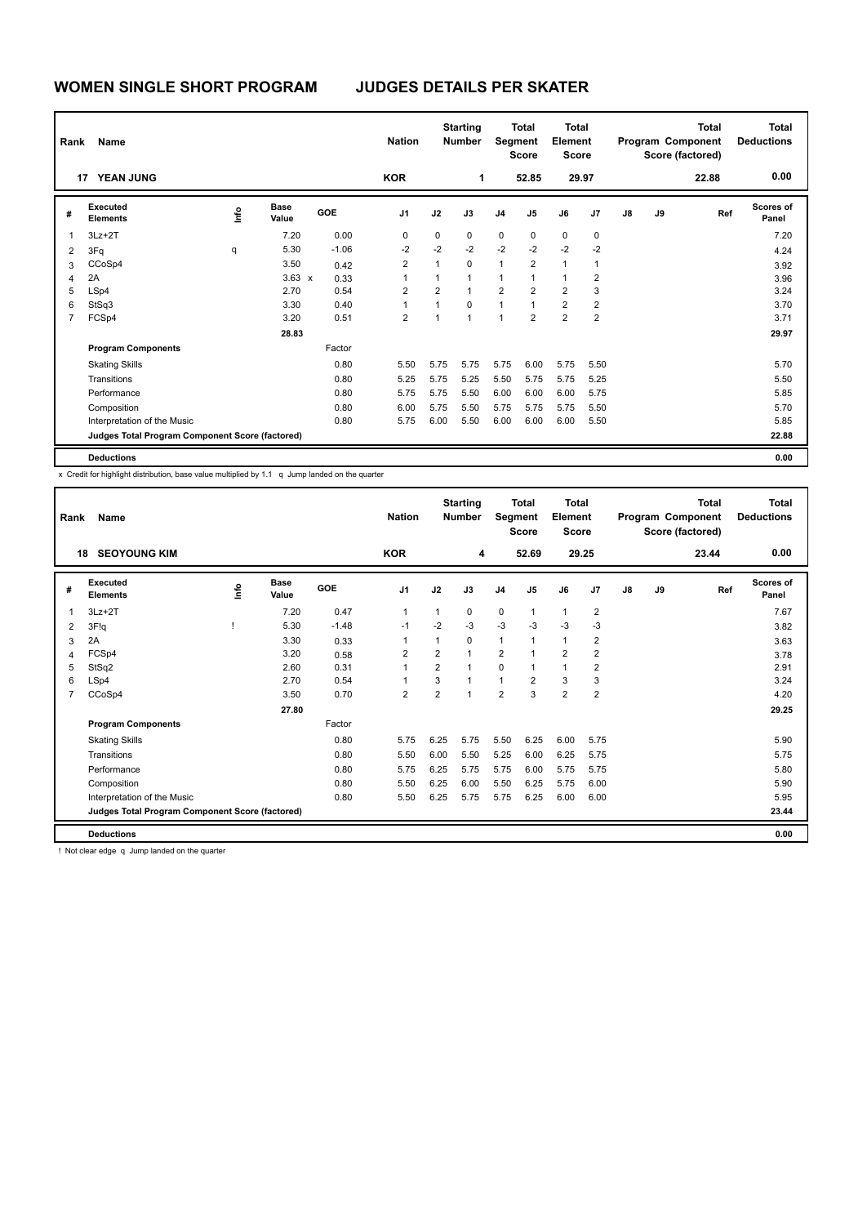| Rank           | Name                                            |      |                      |         | <b>Nation</b>  |                | <b>Starting</b><br><b>Number</b> |                | <b>Total</b><br>Segment<br><b>Score</b> | <b>Total</b><br>Element<br><b>Score</b> |                |    |    | <b>Total</b><br>Program Component<br>Score (factored) | <b>Total</b><br><b>Deductions</b> |
|----------------|-------------------------------------------------|------|----------------------|---------|----------------|----------------|----------------------------------|----------------|-----------------------------------------|-----------------------------------------|----------------|----|----|-------------------------------------------------------|-----------------------------------|
|                | <b>YEAN JUNG</b><br>17                          |      |                      |         | <b>KOR</b>     |                | 1                                |                | 52.85                                   |                                         | 29.97          |    |    | 22.88                                                 | 0.00                              |
| #              | Executed<br><b>Elements</b>                     | lnfo | <b>Base</b><br>Value | GOE     | J <sub>1</sub> | J2             | J3                               | J <sub>4</sub> | J <sub>5</sub>                          | J6                                      | J7             | J8 | J9 | Ref                                                   | Scores of<br>Panel                |
| $\overline{1}$ | $3Lz + 2T$                                      |      | 7.20                 | 0.00    | 0              | 0              | 0                                | 0              | 0                                       | 0                                       | 0              |    |    |                                                       | 7.20                              |
| $\overline{2}$ | 3Fq                                             | q    | 5.30                 | $-1.06$ | $-2$           | $-2$           | $-2$                             | $-2$           | $-2$                                    | $-2$                                    | $-2$           |    |    |                                                       | 4.24                              |
| 3              | CCoSp4                                          |      | 3.50                 | 0.42    | $\overline{2}$ | 1              | $\mathbf 0$                      | $\mathbf{1}$   | $\overline{\mathbf{c}}$                 | $\mathbf{1}$                            | 1              |    |    |                                                       | 3.92                              |
| $\overline{4}$ | 2A                                              |      | $3.63 \times$        | 0.33    | 1              | 1              | $\mathbf{1}$                     | 1              | 1                                       | $\mathbf{1}$                            | $\overline{2}$ |    |    |                                                       | 3.96                              |
| 5              | LSp4                                            |      | 2.70                 | 0.54    | $\overline{2}$ | $\overline{2}$ | $\overline{1}$                   | $\overline{2}$ | $\overline{2}$                          | $\overline{2}$                          | 3              |    |    |                                                       | 3.24                              |
| 6              | StSq3                                           |      | 3.30                 | 0.40    | 1              | $\overline{1}$ | $\Omega$                         | 1              | $\overline{1}$                          | $\overline{2}$                          | $\overline{2}$ |    |    |                                                       | 3.70                              |
| 7              | FCSp4                                           |      | 3.20                 | 0.51    | 2              | 4              | $\overline{1}$                   | $\overline{1}$ | $\overline{2}$                          | $\overline{2}$                          | $\overline{2}$ |    |    |                                                       | 3.71                              |
|                |                                                 |      | 28.83                |         |                |                |                                  |                |                                         |                                         |                |    |    |                                                       | 29.97                             |
|                | <b>Program Components</b>                       |      |                      | Factor  |                |                |                                  |                |                                         |                                         |                |    |    |                                                       |                                   |
|                | <b>Skating Skills</b>                           |      |                      | 0.80    | 5.50           | 5.75           | 5.75                             | 5.75           | 6.00                                    | 5.75                                    | 5.50           |    |    |                                                       | 5.70                              |
|                | Transitions                                     |      |                      | 0.80    | 5.25           | 5.75           | 5.25                             | 5.50           | 5.75                                    | 5.75                                    | 5.25           |    |    |                                                       | 5.50                              |
|                | Performance                                     |      |                      | 0.80    | 5.75           | 5.75           | 5.50                             | 6.00           | 6.00                                    | 6.00                                    | 5.75           |    |    |                                                       | 5.85                              |
|                | Composition                                     |      |                      | 0.80    | 6.00           | 5.75           | 5.50                             | 5.75           | 5.75                                    | 5.75                                    | 5.50           |    |    |                                                       | 5.70                              |
|                | Interpretation of the Music                     |      |                      | 0.80    | 5.75           | 6.00           | 5.50                             | 6.00           | 6.00                                    | 6.00                                    | 5.50           |    |    |                                                       | 5.85                              |
|                | Judges Total Program Component Score (factored) |      |                      |         |                |                |                                  |                |                                         |                                         |                |    |    |                                                       | 22.88                             |
|                | <b>Deductions</b>                               |      |                      |         |                |                |                                  |                |                                         |                                         |                |    |    |                                                       | 0.00                              |

| Rank           | Name<br><b>SEOYOUNG KIM</b><br>18               |    |                      |         | <b>Nation</b>  |                | <b>Starting</b><br><b>Number</b> | Segment        | <b>Total</b><br><b>Score</b> | <b>Total</b><br>Element<br><b>Score</b> |                |               |    | <b>Total</b><br>Program Component<br>Score (factored) | <b>Total</b><br><b>Deductions</b> |
|----------------|-------------------------------------------------|----|----------------------|---------|----------------|----------------|----------------------------------|----------------|------------------------------|-----------------------------------------|----------------|---------------|----|-------------------------------------------------------|-----------------------------------|
|                |                                                 |    |                      |         | <b>KOR</b>     |                | 4                                |                | 52.69                        |                                         | 29.25          |               |    | 23.44                                                 | 0.00                              |
| #              | Executed<br><b>Elements</b>                     | ١m | <b>Base</b><br>Value | GOE     | J <sub>1</sub> | J2             | J3                               | J <sub>4</sub> | J <sub>5</sub>               | J6                                      | J <sub>7</sub> | $\mathsf{J}8$ | J9 | Ref                                                   | <b>Scores of</b><br>Panel         |
| 1              | $3Lz + 2T$                                      |    | 7.20                 | 0.47    | $\overline{1}$ | 1              | $\Omega$                         | $\pmb{0}$      | $\mathbf{1}$                 | $\mathbf{1}$                            | $\overline{2}$ |               |    |                                                       | 7.67                              |
| $\overline{2}$ | 3F!g                                            |    | 5.30                 | $-1.48$ | $-1$           | $-2$           | $-3$                             | $-3$           | $-3$                         | $-3$                                    | $-3$           |               |    |                                                       | 3.82                              |
| 3              | 2A                                              |    | 3.30                 | 0.33    | 1              | 1              | $\Omega$                         | 1              | 1                            | $\mathbf{1}$                            | $\overline{2}$ |               |    |                                                       | 3.63                              |
| $\overline{4}$ | FCSp4                                           |    | 3.20                 | 0.58    | $\overline{2}$ | $\overline{2}$ | $\overline{1}$                   | $\overline{2}$ |                              | $\overline{2}$                          | 2              |               |    |                                                       | 3.78                              |
| 5              | StSq2                                           |    | 2.60                 | 0.31    | $\overline{1}$ | $\overline{2}$ | $\overline{1}$                   | 0              | 1                            | $\mathbf{1}$                            | $\overline{2}$ |               |    |                                                       | 2.91                              |
| 6              | LSp4                                            |    | 2.70                 | 0.54    | 1              | 3              | $\overline{1}$                   | $\mathbf{1}$   | $\overline{2}$               | 3                                       | 3              |               |    |                                                       | 3.24                              |
| $\overline{7}$ | CCoSp4                                          |    | 3.50                 | 0.70    | $\overline{2}$ | $\overline{2}$ | $\overline{1}$                   | $\overline{2}$ | 3                            | $\overline{2}$                          | $\overline{2}$ |               |    |                                                       | 4.20                              |
|                |                                                 |    | 27.80                |         |                |                |                                  |                |                              |                                         |                |               |    |                                                       | 29.25                             |
|                | <b>Program Components</b>                       |    |                      | Factor  |                |                |                                  |                |                              |                                         |                |               |    |                                                       |                                   |
|                | <b>Skating Skills</b>                           |    |                      | 0.80    | 5.75           | 6.25           | 5.75                             | 5.50           | 6.25                         | 6.00                                    | 5.75           |               |    |                                                       | 5.90                              |
|                | Transitions                                     |    |                      | 0.80    | 5.50           | 6.00           | 5.50                             | 5.25           | 6.00                         | 6.25                                    | 5.75           |               |    |                                                       | 5.75                              |
|                | Performance                                     |    |                      | 0.80    | 5.75           | 6.25           | 5.75                             | 5.75           | 6.00                         | 5.75                                    | 5.75           |               |    |                                                       | 5.80                              |
|                | Composition                                     |    |                      | 0.80    | 5.50           | 6.25           | 6.00                             | 5.50           | 6.25                         | 5.75                                    | 6.00           |               |    |                                                       | 5.90                              |
|                | Interpretation of the Music                     |    |                      | 0.80    | 5.50           | 6.25           | 5.75                             | 5.75           | 6.25                         | 6.00                                    | 6.00           |               |    |                                                       | 5.95                              |
|                | Judges Total Program Component Score (factored) |    |                      |         |                |                |                                  |                |                              |                                         |                |               |    |                                                       | 23.44                             |
|                | <b>Deductions</b>                               |    |                      |         |                |                |                                  |                |                              |                                         |                |               |    |                                                       | 0.00                              |

! Not clear edge q Jump landed on the quarter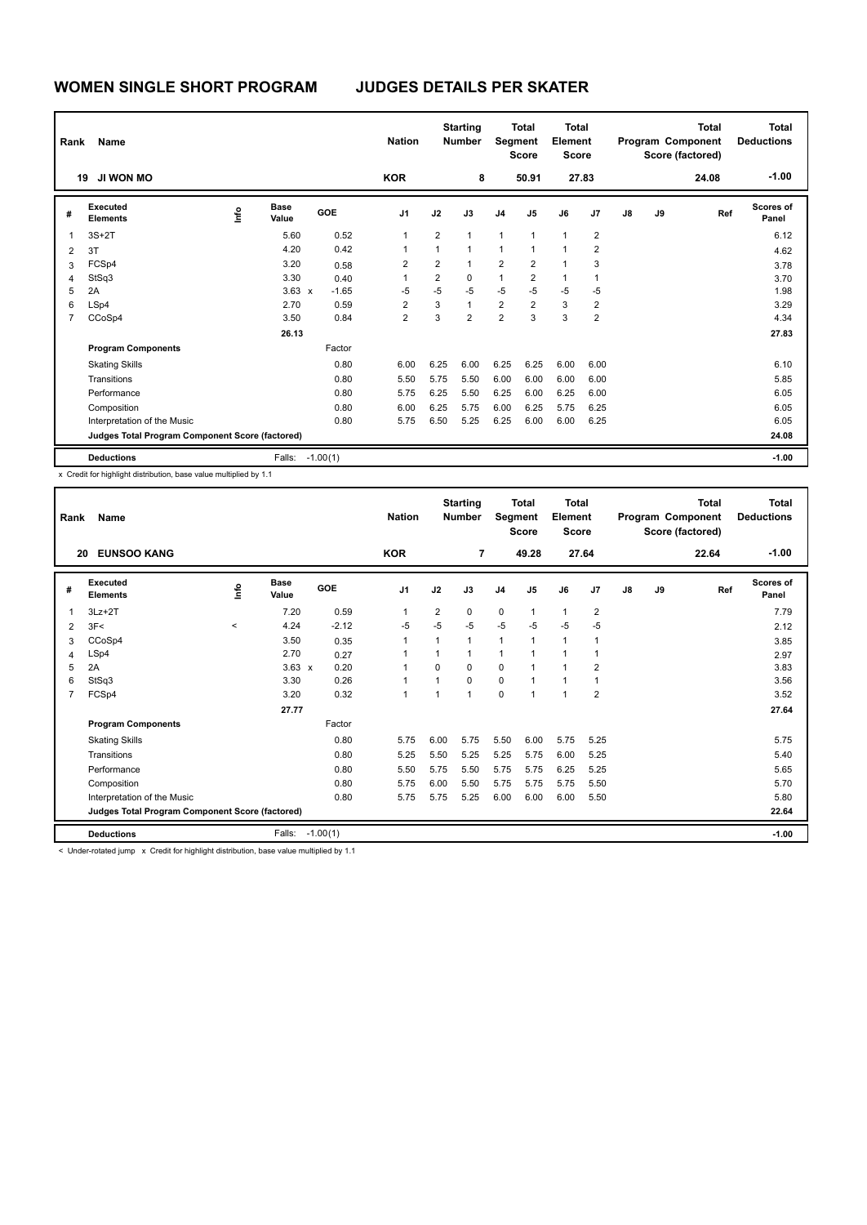| Rank           | Name                                            |      |                      |            | <b>Nation</b>  |                | <b>Starting</b><br><b>Number</b> | Segment        | <b>Total</b><br><b>Score</b> | Total<br>Element<br><b>Score</b> |                |    |    | <b>Total</b><br>Program Component<br>Score (factored) | <b>Total</b><br><b>Deductions</b> |
|----------------|-------------------------------------------------|------|----------------------|------------|----------------|----------------|----------------------------------|----------------|------------------------------|----------------------------------|----------------|----|----|-------------------------------------------------------|-----------------------------------|
|                | JI WON MO<br>19                                 |      |                      |            | <b>KOR</b>     |                | 8                                |                | 50.91                        | 27.83                            |                |    |    | 24.08                                                 | $-1.00$                           |
| #              | Executed<br><b>Elements</b>                     | ١nfo | <b>Base</b><br>Value | <b>GOE</b> | J <sub>1</sub> | J2             | J3                               | J <sub>4</sub> | J <sub>5</sub>               | J6                               | J7             | J8 | J9 | Ref                                                   | <b>Scores of</b><br>Panel         |
| -1             | $3S+2T$                                         |      | 5.60                 | 0.52       | 1              | $\overline{2}$ | $\mathbf{1}$                     | 1              | 1                            | $\mathbf{1}$                     | 2              |    |    |                                                       | 6.12                              |
| $\overline{2}$ | 3T                                              |      | 4.20                 | 0.42       | 1              | 1              | $\overline{1}$                   | $\mathbf{1}$   | $\overline{1}$               | 1                                | $\overline{2}$ |    |    |                                                       | 4.62                              |
| 3              | FCSp4                                           |      | 3.20                 | 0.58       | $\overline{2}$ | $\overline{2}$ | $\mathbf{1}$                     | $\overline{2}$ | $\overline{2}$               | 1                                | 3              |    |    |                                                       | 3.78                              |
| 4              | StSq3                                           |      | 3.30                 | 0.40       | 1              | 2              | 0                                | 1              | 2                            | 1                                |                |    |    |                                                       | 3.70                              |
| 5              | 2A                                              |      | $3.63 \times$        | $-1.65$    | $-5$           | $-5$           | $-5$                             | $-5$           | $-5$                         | $-5$                             | $-5$           |    |    |                                                       | 1.98                              |
| 6              | LSp4                                            |      | 2.70                 | 0.59       | $\overline{2}$ | 3              | $\mathbf{1}$                     | $\overline{2}$ | $\overline{2}$               | 3                                | 2              |    |    |                                                       | 3.29                              |
| $\overline{7}$ | CCoSp4                                          |      | 3.50                 | 0.84       | $\overline{2}$ | 3              | $\overline{2}$                   | $\overline{2}$ | 3                            | 3                                | $\overline{2}$ |    |    |                                                       | 4.34                              |
|                |                                                 |      | 26.13                |            |                |                |                                  |                |                              |                                  |                |    |    |                                                       | 27.83                             |
|                | <b>Program Components</b>                       |      |                      | Factor     |                |                |                                  |                |                              |                                  |                |    |    |                                                       |                                   |
|                | <b>Skating Skills</b>                           |      |                      | 0.80       | 6.00           | 6.25           | 6.00                             | 6.25           | 6.25                         | 6.00                             | 6.00           |    |    |                                                       | 6.10                              |
|                | Transitions                                     |      |                      | 0.80       | 5.50           | 5.75           | 5.50                             | 6.00           | 6.00                         | 6.00                             | 6.00           |    |    |                                                       | 5.85                              |
|                | Performance                                     |      |                      | 0.80       | 5.75           | 6.25           | 5.50                             | 6.25           | 6.00                         | 6.25                             | 6.00           |    |    |                                                       | 6.05                              |
|                | Composition                                     |      |                      | 0.80       | 6.00           | 6.25           | 5.75                             | 6.00           | 6.25                         | 5.75                             | 6.25           |    |    |                                                       | 6.05                              |
|                | Interpretation of the Music                     |      |                      | 0.80       | 5.75           | 6.50           | 5.25                             | 6.25           | 6.00                         | 6.00                             | 6.25           |    |    |                                                       | 6.05                              |
|                | Judges Total Program Component Score (factored) |      |                      |            |                |                |                                  |                |                              |                                  |                |    |    |                                                       | 24.08                             |
|                | <b>Deductions</b>                               |      | Falls:               | $-1.00(1)$ |                |                |                                  |                |                              |                                  |                |    |    |                                                       | $-1.00$                           |

| Rank           | Name                                            |       | <b>Nation</b>        |         | <b>Starting</b><br><b>Number</b> | Segment        | <b>Total</b><br><b>Score</b> | <b>Total</b><br>Element<br><b>Score</b> |                |              |                | <b>Total</b><br>Program Component<br>Score (factored) | Total<br><b>Deductions</b> |       |                    |
|----------------|-------------------------------------------------|-------|----------------------|---------|----------------------------------|----------------|------------------------------|-----------------------------------------|----------------|--------------|----------------|-------------------------------------------------------|----------------------------|-------|--------------------|
|                | <b>EUNSOO KANG</b><br>20                        |       |                      |         | <b>KOR</b>                       |                | $\overline{7}$               |                                         | 49.28          |              | 27.64          |                                                       |                            | 22.64 | $-1.00$            |
| #              | Executed<br><b>Elements</b>                     | ١m    | <b>Base</b><br>Value | GOE     | J <sub>1</sub>                   | J2             | J3                           | J <sub>4</sub>                          | J <sub>5</sub> | J6           | J <sub>7</sub> | J8                                                    | J9                         | Ref   | Scores of<br>Panel |
| 1              | $3Lz + 2T$                                      |       | 7.20                 | 0.59    | 1                                | $\overline{2}$ | $\mathbf 0$                  | $\mathbf 0$                             | 1              | $\mathbf{1}$ | $\overline{2}$ |                                                       |                            |       | 7.79               |
| 2              | 3F<                                             | $\,<$ | 4.24                 | $-2.12$ | $-5$                             | $-5$           | $-5$                         | $-5$                                    | $-5$           | $-5$         | $-5$           |                                                       |                            |       | 2.12               |
| 3              | CCoSp4                                          |       | 3.50                 | 0.35    | 1                                | 1              | $\mathbf{1}$                 | $\mathbf{1}$                            | $\mathbf{1}$   | $\mathbf{1}$ | 1              |                                                       |                            |       | 3.85               |
| 4              | LSp4                                            |       | 2.70                 | 0.27    | 1                                |                | $\mathbf{1}$                 | 1                                       | $\overline{1}$ | $\mathbf{1}$ | 1              |                                                       |                            |       | 2.97               |
| 5              | 2A                                              |       | $3.63 \times$        | 0.20    | 1                                | $\Omega$       | $\Omega$                     | $\mathbf 0$                             | 1              | $\mathbf{1}$ | $\overline{2}$ |                                                       |                            |       | 3.83               |
| 6              | StSq3                                           |       | 3.30                 | 0.26    | $\overline{1}$                   |                | $\mathbf 0$                  | $\mathbf 0$                             | 1              | $\mathbf{1}$ | $\overline{1}$ |                                                       |                            |       | 3.56               |
| $\overline{7}$ | FCSp4                                           |       | 3.20                 | 0.32    | 1                                |                | $\mathbf{1}$                 | $\Omega$                                | $\overline{1}$ | $\mathbf{1}$ | $\overline{2}$ |                                                       |                            |       | 3.52               |
|                |                                                 |       | 27.77                |         |                                  |                |                              |                                         |                |              |                |                                                       |                            |       | 27.64              |
|                | <b>Program Components</b>                       |       |                      | Factor  |                                  |                |                              |                                         |                |              |                |                                                       |                            |       |                    |
|                | <b>Skating Skills</b>                           |       |                      | 0.80    | 5.75                             | 6.00           | 5.75                         | 5.50                                    | 6.00           | 5.75         | 5.25           |                                                       |                            |       | 5.75               |
|                | Transitions                                     |       |                      | 0.80    | 5.25                             | 5.50           | 5.25                         | 5.25                                    | 5.75           | 6.00         | 5.25           |                                                       |                            |       | 5.40               |
|                | Performance                                     |       |                      | 0.80    | 5.50                             | 5.75           | 5.50                         | 5.75                                    | 5.75           | 6.25         | 5.25           |                                                       |                            |       | 5.65               |
|                | Composition                                     |       |                      | 0.80    | 5.75                             | 6.00           | 5.50                         | 5.75                                    | 5.75           | 5.75         | 5.50           |                                                       |                            |       | 5.70               |
|                | Interpretation of the Music                     |       |                      | 0.80    | 5.75                             | 5.75           | 5.25                         | 6.00                                    | 6.00           | 6.00         | 5.50           |                                                       |                            |       | 5.80               |
|                | Judges Total Program Component Score (factored) |       |                      |         |                                  |                |                              |                                         |                |              |                |                                                       |                            |       | 22.64              |
|                | <b>Deductions</b>                               |       | Falls: -1.00(1)      |         |                                  |                |                              |                                         |                |              |                |                                                       |                            |       | $-1.00$            |
|                | <b>A. B.A. LAND LAND LAN</b>                    |       |                      | .       |                                  |                |                              |                                         |                |              |                |                                                       |                            |       |                    |

< Under-rotated jump x Credit for highlight distribution, base value multiplied by 1.1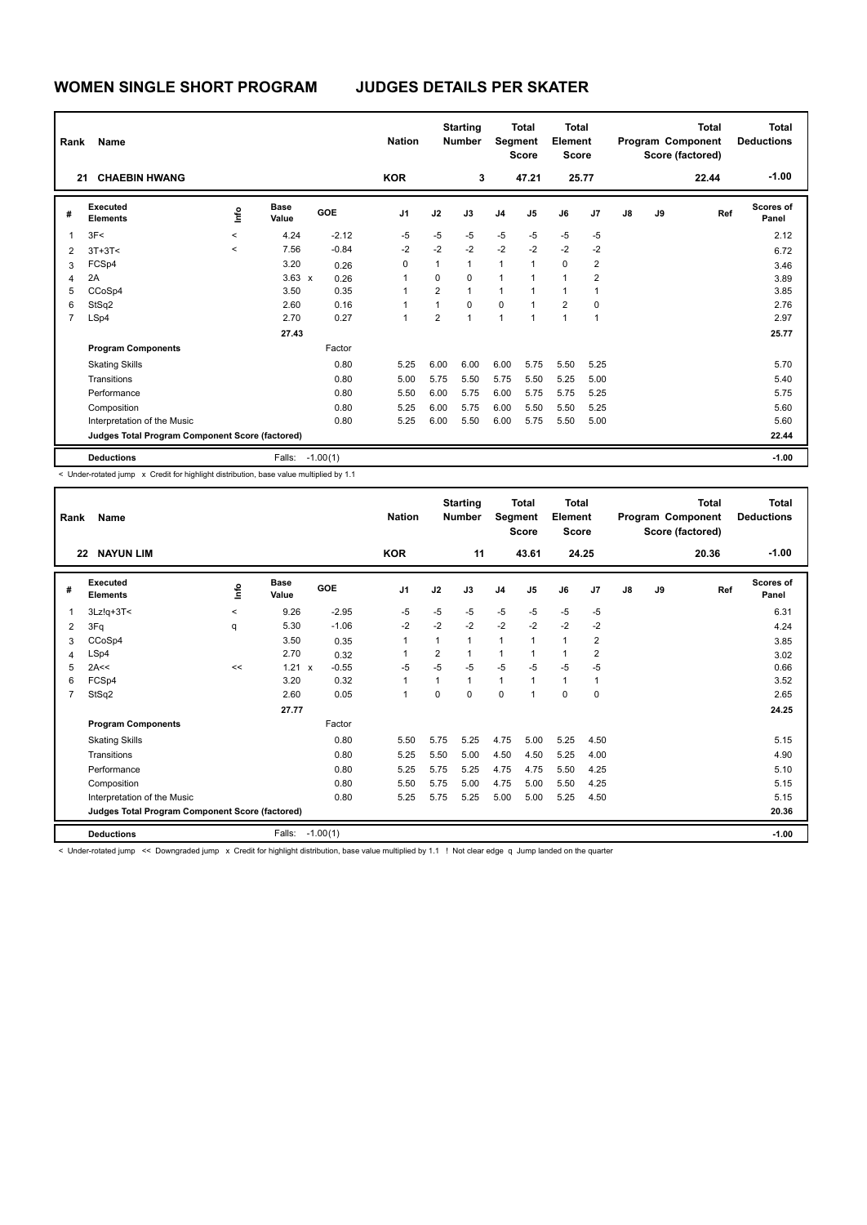| Rank | Name                                            |                          |                      |            | <b>Nation</b>  |                | <b>Starting</b><br><b>Number</b> | Segment        | <b>Total</b><br><b>Score</b> | Total<br>Element<br><b>Score</b> |                |    |    | <b>Total</b><br>Program Component<br>Score (factored) | Total<br><b>Deductions</b> |
|------|-------------------------------------------------|--------------------------|----------------------|------------|----------------|----------------|----------------------------------|----------------|------------------------------|----------------------------------|----------------|----|----|-------------------------------------------------------|----------------------------|
|      | <b>CHAEBIN HWANG</b><br>21                      |                          |                      |            | <b>KOR</b>     |                | 3                                |                | 47.21                        | 25.77                            |                |    |    | 22.44                                                 | $-1.00$                    |
| #    | <b>Executed</b><br><b>Elements</b>              | ١nfo                     | <b>Base</b><br>Value | GOE        | J <sub>1</sub> | J2             | J3                               | J <sub>4</sub> | J <sub>5</sub>               | J6                               | J <sub>7</sub> | J8 | J9 | Ref                                                   | Scores of<br>Panel         |
| 1    | 3F<                                             | $\overline{\phantom{a}}$ | 4.24                 | $-2.12$    | $-5$           | $-5$           | $-5$                             | $-5$           | $-5$                         | $-5$                             | $-5$           |    |    |                                                       | 2.12                       |
| 2    | $3T+3T<$                                        | $\overline{\phantom{a}}$ | 7.56                 | $-0.84$    | $-2$           | $-2$           | $-2$                             | $-2$           | $-2$                         | $-2$                             | $-2$           |    |    |                                                       | 6.72                       |
| 3    | FCSp4                                           |                          | 3.20                 | 0.26       | 0              | 1              | $\mathbf{1}$                     | 1              | $\mathbf{1}$                 | $\mathbf 0$                      | 2              |    |    |                                                       | 3.46                       |
| 4    | 2A                                              |                          | $3.63 \times$        | 0.26       | 1              | 0              | $\mathbf 0$                      | $\overline{1}$ | $\mathbf{1}$                 | $\mathbf{1}$                     | 2              |    |    |                                                       | 3.89                       |
| 5    | CCoSp4                                          |                          | 3.50                 | 0.35       |                | $\overline{2}$ | $\mathbf{1}$                     | 1              | 1                            | $\overline{1}$                   |                |    |    |                                                       | 3.85                       |
| 6    | StSq2                                           |                          | 2.60                 | 0.16       |                | 1              | $\mathbf 0$                      | $\mathbf 0$    | 1                            | $\overline{2}$                   | $\mathbf 0$    |    |    |                                                       | 2.76                       |
| 7    | LSp4                                            |                          | 2.70                 | 0.27       | 1              | $\overline{2}$ | $\overline{1}$                   | $\overline{1}$ | $\mathbf{1}$                 | $\overline{1}$                   | $\mathbf 1$    |    |    |                                                       | 2.97                       |
|      |                                                 |                          | 27.43                |            |                |                |                                  |                |                              |                                  |                |    |    |                                                       | 25.77                      |
|      | <b>Program Components</b>                       |                          |                      | Factor     |                |                |                                  |                |                              |                                  |                |    |    |                                                       |                            |
|      | <b>Skating Skills</b>                           |                          |                      | 0.80       | 5.25           | 6.00           | 6.00                             | 6.00           | 5.75                         | 5.50                             | 5.25           |    |    |                                                       | 5.70                       |
|      | Transitions                                     |                          |                      | 0.80       | 5.00           | 5.75           | 5.50                             | 5.75           | 5.50                         | 5.25                             | 5.00           |    |    |                                                       | 5.40                       |
|      | Performance                                     |                          |                      | 0.80       | 5.50           | 6.00           | 5.75                             | 6.00           | 5.75                         | 5.75                             | 5.25           |    |    |                                                       | 5.75                       |
|      | Composition                                     |                          |                      | 0.80       | 5.25           | 6.00           | 5.75                             | 6.00           | 5.50                         | 5.50                             | 5.25           |    |    |                                                       | 5.60                       |
|      | Interpretation of the Music                     |                          |                      | 0.80       | 5.25           | 6.00           | 5.50                             | 6.00           | 5.75                         | 5.50                             | 5.00           |    |    |                                                       | 5.60                       |
|      | Judges Total Program Component Score (factored) |                          |                      |            |                |                |                                  |                |                              |                                  |                |    |    |                                                       | 22.44                      |
|      | <b>Deductions</b>                               |                          | Falls:               | $-1.00(1)$ |                |                |                                  |                |                              |                                  |                |    |    |                                                       | $-1.00$                    |

< Under-rotated jump x Credit for highlight distribution, base value multiplied by 1.1

| Rank | Name                                                                                                                                                  |         | <b>Nation</b>        |            | <b>Starting</b><br><b>Number</b> | Segment        | <b>Total</b><br><b>Score</b> | <b>Total</b><br>Element<br><b>Score</b> |                |              |                | <b>Total</b><br>Program Component<br>Score (factored) | <b>Total</b><br><b>Deductions</b> |       |                           |
|------|-------------------------------------------------------------------------------------------------------------------------------------------------------|---------|----------------------|------------|----------------------------------|----------------|------------------------------|-----------------------------------------|----------------|--------------|----------------|-------------------------------------------------------|-----------------------------------|-------|---------------------------|
|      | <b>NAYUN LIM</b><br>22                                                                                                                                |         |                      |            | <b>KOR</b>                       |                | 11                           |                                         | 43.61          |              | 24.25          |                                                       |                                   | 20.36 | $-1.00$                   |
| #    | Executed<br><b>Elements</b>                                                                                                                           | lnfo    | <b>Base</b><br>Value | <b>GOE</b> | J <sub>1</sub>                   | J2             | J3                           | J <sub>4</sub>                          | J <sub>5</sub> | J6           | J <sub>7</sub> | J8                                                    | J9                                | Ref   | <b>Scores of</b><br>Panel |
| 1    | $3Lz!q+3T<$                                                                                                                                           | $\prec$ | 9.26                 | $-2.95$    | $-5$                             | $-5$           | $-5$                         | $-5$                                    | $-5$           | $-5$         | $-5$           |                                                       |                                   |       | 6.31                      |
| 2    | 3Fq                                                                                                                                                   | q       | 5.30                 | $-1.06$    | $-2$                             | $-2$           | $-2$                         | $-2$                                    | $-2$           | $-2$         | $-2$           |                                                       |                                   |       | 4.24                      |
| 3    | CCoSp4                                                                                                                                                |         | 3.50                 | 0.35       |                                  | 1              |                              | $\mathbf{1}$                            | 1              | $\mathbf{1}$ | $\overline{2}$ |                                                       |                                   |       | 3.85                      |
| 4    | LSp4                                                                                                                                                  |         | 2.70                 | 0.32       |                                  | $\overline{2}$ | 1                            | $\mathbf{1}$                            |                | $\mathbf{1}$ | $\overline{2}$ |                                                       |                                   |       | 3.02                      |
| 5    | 2A<<                                                                                                                                                  | <<      | 1.21<br>$\mathsf{x}$ | $-0.55$    | $-5$                             | $-5$           | $-5$                         | $-5$                                    | $-5$           | $-5$         | $-5$           |                                                       |                                   |       | 0.66                      |
| 6    | FCSp4                                                                                                                                                 |         | 3.20                 | 0.32       | 1                                | 1              | 1                            | $\mathbf{1}$                            | 1              | $\mathbf{1}$ | 1              |                                                       |                                   |       | 3.52                      |
| 7    | StSq2                                                                                                                                                 |         | 2.60                 | 0.05       | $\overline{1}$                   | $\Omega$       | 0                            | $\Omega$                                | $\overline{1}$ | $\Omega$     | 0              |                                                       |                                   |       | 2.65                      |
|      |                                                                                                                                                       |         | 27.77                |            |                                  |                |                              |                                         |                |              |                |                                                       |                                   |       | 24.25                     |
|      | <b>Program Components</b>                                                                                                                             |         |                      | Factor     |                                  |                |                              |                                         |                |              |                |                                                       |                                   |       |                           |
|      | <b>Skating Skills</b>                                                                                                                                 |         |                      | 0.80       | 5.50                             | 5.75           | 5.25                         | 4.75                                    | 5.00           | 5.25         | 4.50           |                                                       |                                   |       | 5.15                      |
|      | Transitions                                                                                                                                           |         |                      | 0.80       | 5.25                             | 5.50           | 5.00                         | 4.50                                    | 4.50           | 5.25         | 4.00           |                                                       |                                   |       | 4.90                      |
|      | Performance                                                                                                                                           |         |                      | 0.80       | 5.25                             | 5.75           | 5.25                         | 4.75                                    | 4.75           | 5.50         | 4.25           |                                                       |                                   |       | 5.10                      |
|      | Composition                                                                                                                                           |         |                      | 0.80       | 5.50                             | 5.75           | 5.00                         | 4.75                                    | 5.00           | 5.50         | 4.25           |                                                       |                                   |       | 5.15                      |
|      | Interpretation of the Music                                                                                                                           |         |                      | 0.80       | 5.25                             | 5.75           | 5.25                         | 5.00                                    | 5.00           | 5.25         | 4.50           |                                                       |                                   |       | 5.15                      |
|      | Judges Total Program Component Score (factored)                                                                                                       |         |                      |            |                                  |                |                              |                                         |                |              |                |                                                       |                                   |       | 20.36                     |
|      | <b>Deductions</b>                                                                                                                                     |         | Falls:               | $-1.00(1)$ |                                  |                |                              |                                         |                |              |                |                                                       |                                   |       | $-1.00$                   |
|      | < Under-rotated jump << Downgraded jump y Credit for bigblight distribution base yolue multiplied by 1.1 UNot clear edge a lump landed on the quarter |         |                      |            |                                  |                |                              |                                         |                |              |                |                                                       |                                   |       |                           |

Under-rotated jump << Downgraded jump x Credit for highlight distribution, base value multiplied by 1.1 ! Not clear edge q Jump landed on the quarter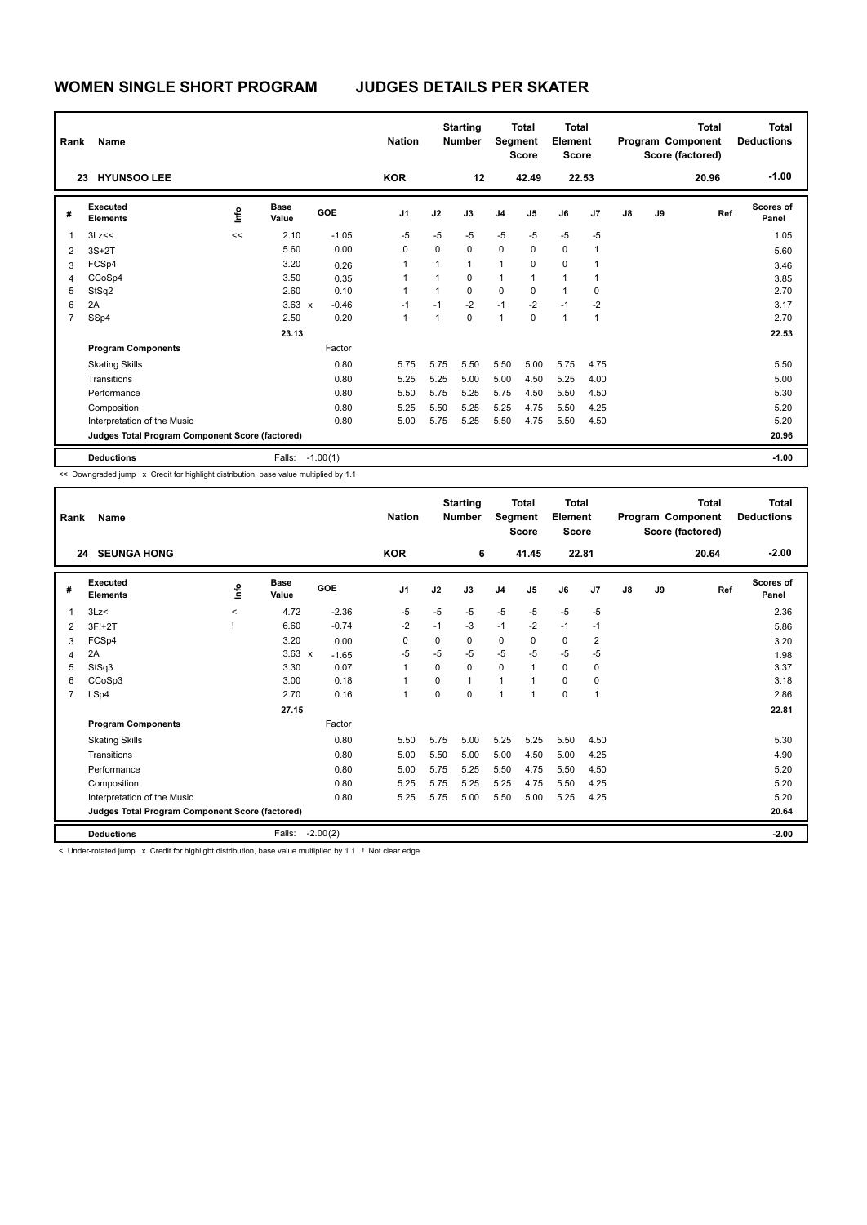| Rank                    | Name                                            |      |                      |            | <b>Nation</b>  |      | <b>Starting</b><br><b>Number</b> | Segment        | <b>Total</b><br><b>Score</b> | <b>Total</b><br>Element<br><b>Score</b> |                |    |    | Total<br>Program Component<br>Score (factored) | <b>Total</b><br><b>Deductions</b> |
|-------------------------|-------------------------------------------------|------|----------------------|------------|----------------|------|----------------------------------|----------------|------------------------------|-----------------------------------------|----------------|----|----|------------------------------------------------|-----------------------------------|
|                         | <b>HYUNSOO LEE</b><br>23                        |      |                      |            | <b>KOR</b>     |      | 12                               |                | 42.49                        |                                         | 22.53          |    |    | 20.96                                          | $-1.00$                           |
| #                       | Executed<br><b>Elements</b>                     | ١nfo | <b>Base</b><br>Value | GOE        | J <sub>1</sub> | J2   | J3                               | J <sub>4</sub> | J5                           | J6                                      | J <sub>7</sub> | J8 | J9 | Ref                                            | <b>Scores of</b><br>Panel         |
| $\overline{\mathbf{1}}$ | 3Lz<<                                           | <<   | 2.10                 | $-1.05$    | $-5$           | $-5$ | $-5$                             | $-5$           | $-5$                         | $-5$                                    | $-5$           |    |    |                                                | 1.05                              |
| $\overline{2}$          | $3S+2T$                                         |      | 5.60                 | 0.00       | 0              | 0    | $\mathbf 0$                      | $\mathbf 0$    | $\Omega$                     | $\mathbf 0$                             | 1              |    |    |                                                | 5.60                              |
| 3                       | FCSp4                                           |      | 3.20                 | 0.26       | 1              |      | $\mathbf{1}$                     | 1              | $\Omega$                     | $\mathbf 0$                             |                |    |    |                                                | 3.46                              |
| 4                       | CCoSp4                                          |      | 3.50                 | 0.35       | 1              |      | $\mathbf 0$                      | 1              | 1                            | $\mathbf{1}$                            |                |    |    |                                                | 3.85                              |
| 5                       | StSq2                                           |      | 2.60                 | 0.10       | 1              | 1    | $\mathbf 0$                      | $\mathbf 0$    | 0                            | $\mathbf{1}$                            | $\mathbf 0$    |    |    |                                                | 2.70                              |
| 6                       | 2A                                              |      | $3.63 \times$        | $-0.46$    | $-1$           | $-1$ | $-2$                             | $-1$           | $-2$                         | $-1$                                    | $-2$           |    |    |                                                | 3.17                              |
| $\overline{7}$          | SSp4                                            |      | 2.50                 | 0.20       | 1              | 1    | $\Omega$                         | $\mathbf{1}$   | $\Omega$                     | $\mathbf{1}$                            | $\mathbf{1}$   |    |    |                                                | 2.70                              |
|                         |                                                 |      | 23.13                |            |                |      |                                  |                |                              |                                         |                |    |    |                                                | 22.53                             |
|                         | <b>Program Components</b>                       |      |                      | Factor     |                |      |                                  |                |                              |                                         |                |    |    |                                                |                                   |
|                         | <b>Skating Skills</b>                           |      |                      | 0.80       | 5.75           | 5.75 | 5.50                             | 5.50           | 5.00                         | 5.75                                    | 4.75           |    |    |                                                | 5.50                              |
|                         | Transitions                                     |      |                      | 0.80       | 5.25           | 5.25 | 5.00                             | 5.00           | 4.50                         | 5.25                                    | 4.00           |    |    |                                                | 5.00                              |
|                         | Performance                                     |      |                      | 0.80       | 5.50           | 5.75 | 5.25                             | 5.75           | 4.50                         | 5.50                                    | 4.50           |    |    |                                                | 5.30                              |
|                         | Composition                                     |      |                      | 0.80       | 5.25           | 5.50 | 5.25                             | 5.25           | 4.75                         | 5.50                                    | 4.25           |    |    |                                                | 5.20                              |
|                         | Interpretation of the Music                     |      |                      | 0.80       | 5.00           | 5.75 | 5.25                             | 5.50           | 4.75                         | 5.50                                    | 4.50           |    |    |                                                | 5.20                              |
|                         | Judges Total Program Component Score (factored) |      |                      |            |                |      |                                  |                |                              |                                         |                |    |    |                                                | 20.96                             |
|                         | <b>Deductions</b>                               |      | Falls:               | $-1.00(1)$ |                |      |                                  |                |                              |                                         |                |    |    |                                                | $-1.00$                           |

<< Downgraded jump x Credit for highlight distribution, base value multiplied by 1.1

| Rank           | Name<br><b>24 SEUNGA HONG</b>                                                                                    |         |                      |            | <b>Nation</b>  |          | <b>Starting</b><br><b>Number</b> | Segment        | <b>Total</b><br><b>Score</b> | <b>Total</b><br>Element<br><b>Score</b> |                |               |    | <b>Total</b><br>Program Component<br>Score (factored) | Total<br><b>Deductions</b> |
|----------------|------------------------------------------------------------------------------------------------------------------|---------|----------------------|------------|----------------|----------|----------------------------------|----------------|------------------------------|-----------------------------------------|----------------|---------------|----|-------------------------------------------------------|----------------------------|
|                |                                                                                                                  |         |                      |            | <b>KOR</b>     |          | 6                                |                | 41.45                        |                                         | 22.81          |               |    | 20.64                                                 | $-2.00$                    |
| #              | Executed<br><b>Elements</b>                                                                                      | ١mfo    | <b>Base</b><br>Value | GOE        | J <sub>1</sub> | J2       | J3                               | J <sub>4</sub> | J5                           | J6                                      | J7             | $\mathsf{J}8$ | J9 | Ref                                                   | <b>Scores of</b><br>Panel  |
| $\overline{1}$ | 3Lz<                                                                                                             | $\prec$ | 4.72                 | $-2.36$    | $-5$           | $-5$     | $-5$                             | $-5$           | $-5$                         | $-5$                                    | $-5$           |               |    |                                                       | 2.36                       |
| $\overline{2}$ | 3F!+2T                                                                                                           |         | 6.60                 | $-0.74$    | $-2$           | $-1$     | $-3$                             | $-1$           | $-2$                         | $-1$                                    | $-1$           |               |    |                                                       | 5.86                       |
| 3              | FCSp4                                                                                                            |         | 3.20                 | 0.00       | 0              | 0        | 0                                | 0              | 0                            | $\mathbf 0$                             | $\overline{2}$ |               |    |                                                       | 3.20                       |
| 4              | 2A                                                                                                               |         | $3.63 \times$        | $-1.65$    | $-5$           | $-5$     | $-5$                             | $-5$           | $-5$                         | $-5$                                    | $-5$           |               |    |                                                       | 1.98                       |
| 5              | StSq3                                                                                                            |         | 3.30                 | 0.07       | $\overline{1}$ | $\Omega$ | $\Omega$                         | $\mathbf 0$    | $\overline{1}$               | $\Omega$                                | 0              |               |    |                                                       | 3.37                       |
| 6              | CCoSp3                                                                                                           |         | 3.00                 | 0.18       | 1              | $\Omega$ | $\mathbf{1}$                     | 1              | 1                            | $\mathbf 0$                             | 0              |               |    |                                                       | 3.18                       |
| 7              | LSp4                                                                                                             |         | 2.70                 | 0.16       | $\overline{1}$ | $\Omega$ | $\Omega$                         | 1              | 1                            | $\Omega$                                | 1              |               |    |                                                       | 2.86                       |
|                |                                                                                                                  |         | 27.15                |            |                |          |                                  |                |                              |                                         |                |               |    |                                                       | 22.81                      |
|                | <b>Program Components</b>                                                                                        |         |                      | Factor     |                |          |                                  |                |                              |                                         |                |               |    |                                                       |                            |
|                | <b>Skating Skills</b>                                                                                            |         |                      | 0.80       | 5.50           | 5.75     | 5.00                             | 5.25           | 5.25                         | 5.50                                    | 4.50           |               |    |                                                       | 5.30                       |
|                | Transitions                                                                                                      |         |                      | 0.80       | 5.00           | 5.50     | 5.00                             | 5.00           | 4.50                         | 5.00                                    | 4.25           |               |    |                                                       | 4.90                       |
|                | Performance                                                                                                      |         |                      | 0.80       | 5.00           | 5.75     | 5.25                             | 5.50           | 4.75                         | 5.50                                    | 4.50           |               |    |                                                       | 5.20                       |
|                | Composition                                                                                                      |         |                      | 0.80       | 5.25           | 5.75     | 5.25                             | 5.25           | 4.75                         | 5.50                                    | 4.25           |               |    |                                                       | 5.20                       |
|                | Interpretation of the Music                                                                                      |         |                      | 0.80       | 5.25           | 5.75     | 5.00                             | 5.50           | 5.00                         | 5.25                                    | 4.25           |               |    |                                                       | 5.20                       |
|                | Judges Total Program Component Score (factored)                                                                  |         |                      |            |                |          |                                  |                |                              |                                         |                |               |    |                                                       | 20.64                      |
|                | <b>Deductions</b>                                                                                                |         | Falls:               | $-2.00(2)$ |                |          |                                  |                |                              |                                         |                |               |    |                                                       | $-2.00$                    |
|                | a Thomas concept these in the distribution of a significant contractive contracts of a state of a transportation |         |                      |            |                |          |                                  |                |                              |                                         |                |               |    |                                                       |                            |

Under-rotated jump x Credit for highlight distribution, base value multiplied by 1.1 ! Not clear edge